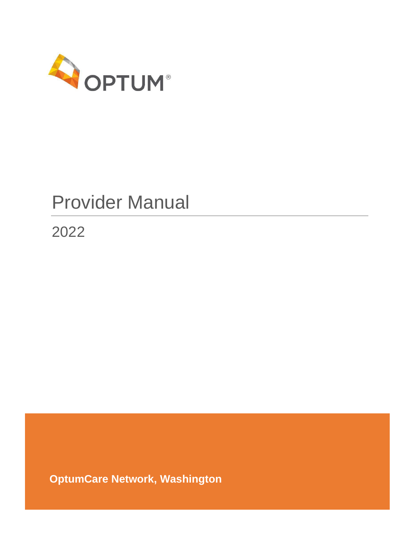

# Provider Manual

<span id="page-0-0"></span>2022

**OptumCare Network, Washington**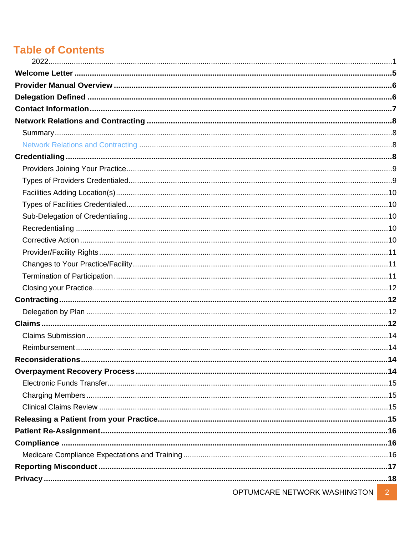# **Table of Contents**

| OPTUMCARE NETWORK WASHINGTON | 2 <sup>1</sup> |
|------------------------------|----------------|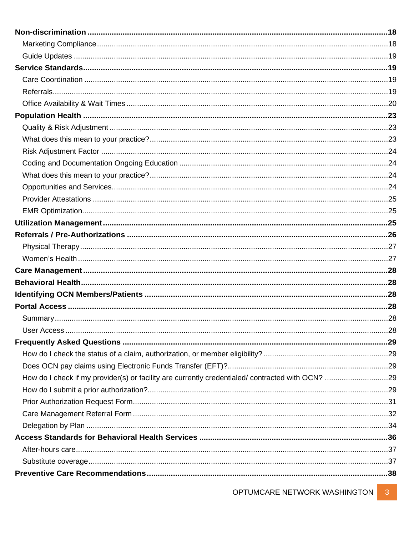| How do I check if my provider(s) or facility are currently credentialed/contracted with OCN? 29 |  |
|-------------------------------------------------------------------------------------------------|--|
|                                                                                                 |  |
|                                                                                                 |  |
|                                                                                                 |  |
|                                                                                                 |  |
|                                                                                                 |  |
|                                                                                                 |  |
|                                                                                                 |  |
|                                                                                                 |  |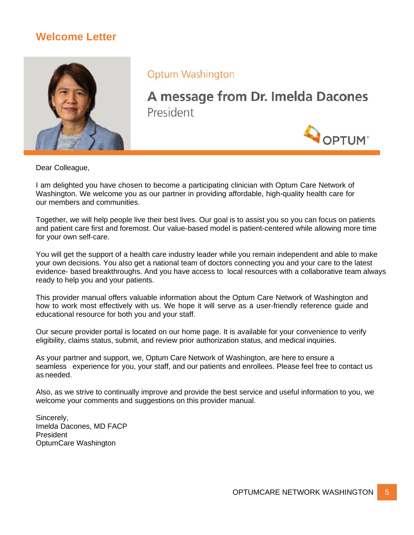# **Welcome Letter**

<span id="page-4-0"></span>

**Optum Washington** 

A message from Dr. Imelda Dacones President



Dear Colleague,

I am delighted you have chosen to become a participating clinician with Optum Care Network of Washington. We welcome you as our partner in providing affordable, high-quality health care for our members and communities.

Together, we will help people live their best lives. Our goal is to assist you so you can focus on patients and patient care first and foremost. Our value-based model is patient-centered while allowing more time for your own self-care.

You will get the support of a health care industry leader while you remain independent and able to make your own decisions. You also get a national team of doctors connecting you and your care to the latest evidence- based breakthroughs. And you have access to local resources with a collaborative team always ready to help you and your patients.

This provider manual offers valuable information about the Optum Care Network of Washington and how to work most effectively with us. We hope it will serve as a user-friendly reference guide and educational resource for both you and your staff.

Our secure provider portal is located on our home page. It is available for your convenience to verify eligibility, claims status, submit, and review prior authorization status, and medical inquiries.

As your partner and support, we, Optum Care Network of Washington, are here to ensure a seamless experience for you, your staff, and our patients and enrollees. Please feel free to contact us as needed.

Also, as we strive to continually improve and provide the best service and useful information to you, we welcome your comments and suggestions on this provider manual.

Sincerely, Imelda Dacones, MD FACP **President** OptumCare Washington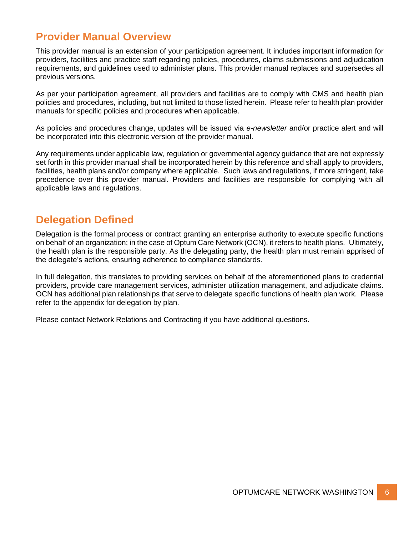# <span id="page-5-0"></span>**Provider Manual Overview**

This provider manual is an extension of your participation agreement. It includes important information for providers, facilities and practice staff regarding policies, procedures, claims submissions and adjudication requirements, and guidelines used to administer plans. This provider manual replaces and supersedes all previous versions.

As per your participation agreement, all providers and facilities are to comply with CMS and health plan policies and procedures, including, but not limited to those listed herein. Please refer to health plan provider manuals for specific policies and procedures when applicable.

As policies and procedures change, updates will be issued via *e-newsletter* and/or practice alert and will be incorporated into this electronic version of the provider manual.

Any requirements under applicable law, regulation or governmental agency guidance that are not expressly set forth in this provider manual shall be incorporated herein by this reference and shall apply to providers, facilities, health plans and/or company where applicable. Such laws and regulations, if more stringent, take precedence over this provider manual. Providers and facilities are responsible for complying with all applicable laws and regulations.

# <span id="page-5-1"></span>**Delegation Defined**

Delegation is the formal process or contract granting an enterprise authority to execute specific functions on behalf of an organization; in the case of Optum Care Network (OCN), it refers to health plans. Ultimately, the health plan is the responsible party. As the delegating party, the health plan must remain apprised of the delegate's actions, ensuring adherence to compliance standards.

In full delegation, this translates to providing services on behalf of the aforementioned plans to credential providers, provide care management services, administer utilization management, and adjudicate claims. OCN has additional plan relationships that serve to delegate specific functions of health plan work. Please refer to the appendix for delegation by plan.

Please contact Network Relations and Contracting if you have additional questions.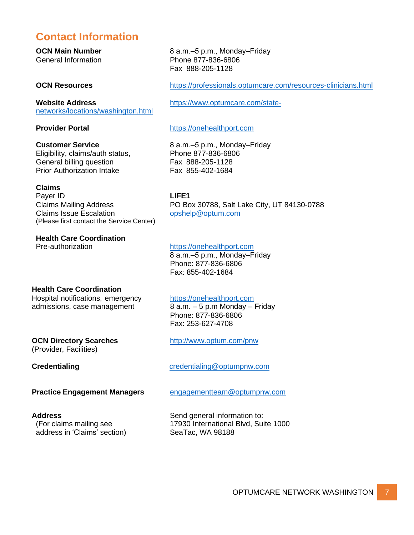# <span id="page-6-0"></span>**Contact Information**

[networks/locations/washington.html](https://www.optumcare.com/state-networks/locations/washington.html)

Eligibility, claims/auth status, Phone 877-836-6806 General billing question Fax 888-205-1128 Prior Authorization Intake Fax 855-402-1684

#### **Claims**

Payer ID **LIFE1** Claims Issue Escalation [opshelp@optum.com](mailto:opshelp@optum.com) (Please first contact the Service Center)

**Health Care Coordination**

**OCN Main Number** 8 a.m.–5 p.m., Monday–Friday General Information **Phone 877-836-6806** Fax 888-205-1128

**OCN Resources** <https://professionals.optumcare.com/resources-clinicians.html>

**Website Address** https://www.optumcare.com/state-

#### **Provider Portal Provider Provider Provider Provider Provider Provider Provider Provider Provider Provider Provider Provider Provider Provider Provider Provider Provider Provider Provi**

**Customer Service** 8 a.m.–5 p.m., Monday–Friday

Claims Mailing Address PO Box 30788, Salt Lake City, UT 84130-0788

#### Pre-authorization [https://onehealthport.com](https://onehealthport.com/)

8 a.m.-5 p.m., Monday-Friday Phone: 877-836-6806 Fax: 855-402-1684

#### **Health Care Coordination**

Hospital notifications, emergency [https://onehealthport.com](https://onehealthport.com/) admissions, case management  $\overline{8}$  a.m.  $-5$  p.m Monday – Friday

 Phone: 877-836-6806 Fax: 253-627-4708

#### **OCN Directory Searches** <http://www.optum.com/pnw> (Provider, Facilities)

**Credentialing Credentialing Credentialing Credentialing Credentialing Credentialing Credentialing Credentialing Credentialing Credentialing Credentialing Credentialing Credentialing Credentialing** 

**Practice Engagement Managers** [engagementteam@optumpnw.com](mailto:engagementteam@optumpnw.com)

address in 'Claims' section) SeaTac, WA 98188

**Address** Send general information to: (For claims mailing see 17930 International Blvd, Suite 1000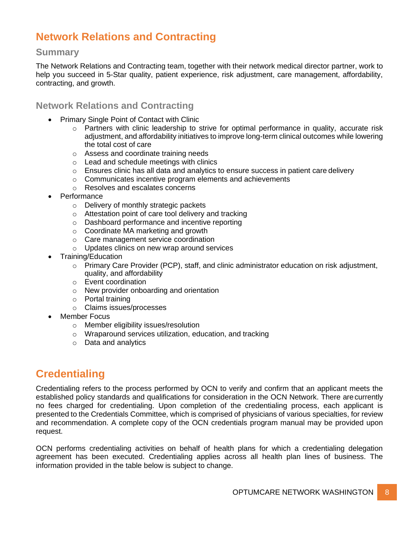# <span id="page-7-0"></span>**Network Relations and Contracting**

#### <span id="page-7-1"></span>**Summary**

The Network Relations and Contracting team, together with their network medical director partner, work to help you succeed in 5-Star quality, patient experience, risk adjustment, care management, affordability, contracting, and growth.

#### <span id="page-7-2"></span>**Network Relations and Contracting**

- Primary Single Point of Contact with Clinic
	- o Partners with clinic leadership to strive for optimal performance in quality, accurate risk adjustment, and affordability initiatives to improve long-term clinical outcomes while lowering the total cost of care
	- o Assess and coordinate training needs
	- o Lead and schedule meetings with clinics
	- $\circ$  Ensures clinic has all data and analytics to ensure success in patient care delivery
	- o Communicates incentive program elements and achievements
	- o Resolves and escalates concerns
- **Performance** 
	- o Delivery of monthly strategic packets
	- o Attestation point of care tool delivery and tracking
	- o Dashboard performance and incentive reporting
	- o Coordinate MA marketing and growth
	- o Care management service coordination
	- o Updates clinics on new wrap around services
- Training/Education
	- $\circ$  Primary Care Provider (PCP), staff, and clinic administrator education on risk adjustment, quality, and affordability
	- o Event coordination
	- o New provider onboarding and orientation
	- o Portal training
	- o Claims issues/processes
- Member Focus
	- o Member eligibility issues/resolution
	- o Wraparound services utilization, education, and tracking
	- o Data and analytics

# <span id="page-7-3"></span>**Credentialing**

Credentialing refers to the process performed by OCN to verify and confirm that an applicant meets the established policy standards and qualifications for consideration in the OCN Network. There arecurrently no fees charged for credentialing. Upon completion of the credentialing process, each applicant is presented to the Credentials Committee, which is comprised of physicians of various specialties, for review and recommendation. A complete copy of the OCN credentials program manual may be provided upon request.

OCN performs credentialing activities on behalf of health plans for which a credentialing delegation agreement has been executed. Credentialing applies across all health plan lines of business. The information provided in the table below is subject to change.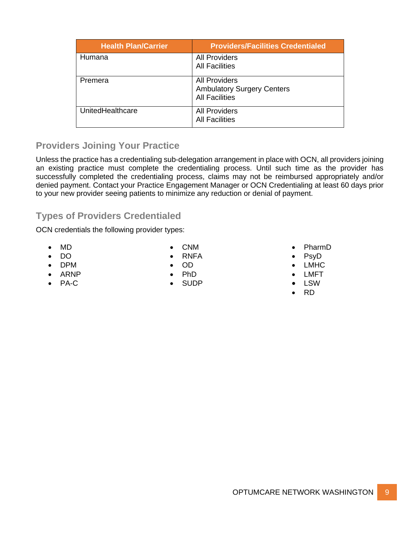| <b>Health Plan/Carrier</b> | <b>Providers/Facilities Credentialed</b> |
|----------------------------|------------------------------------------|
| Humana                     | <b>All Providers</b>                     |
|                            | <b>All Facilities</b>                    |
| Premera                    | <b>All Providers</b>                     |
|                            | <b>Ambulatory Surgery Centers</b>        |
|                            | <b>All Facilities</b>                    |
| UnitedHealthcare           | <b>All Providers</b>                     |
|                            | <b>All Facilities</b>                    |

# <span id="page-8-0"></span>**Providers Joining Your Practice**

Unless the practice has a credentialing sub-delegation arrangement in place with OCN, all providers joining an existing practice must complete the credentialing process. Until such time as the provider has successfully completed the credentialing process, claims may not be reimbursed appropriately and/or denied payment. Contact your Practice Engagement Manager or OCN Credentialing at least 60 days prior to your new provider seeing patients to minimize any reduction or denial of payment.

# <span id="page-8-1"></span>**Types of Providers Credentialed**

OCN credentials the following provider types:

- MD
- DO
- DPM
- ARNP
- PA-C
- CNM • RNFA
- 
- OD
- PhD
- SUDP

#### • PharmD

- PsyD
- LMHC
- LMFT
- LSW
- RD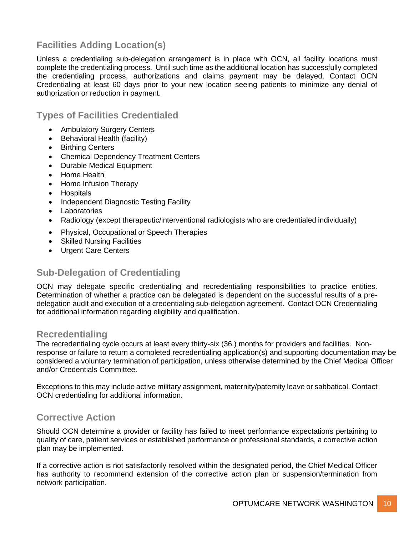# <span id="page-9-0"></span>**Facilities Adding Location(s)**

Unless a credentialing sub-delegation arrangement is in place with OCN, all facility locations must complete the credentialing process. Until such time as the additional location has successfully completed the credentialing process, authorizations and claims payment may be delayed. Contact OCN Credentialing at least 60 days prior to your new location seeing patients to minimize any denial of authorization or reduction in payment.

<span id="page-9-1"></span>**Types of Facilities Credentialed**

- Ambulatory Surgery Centers
- Behavioral Health (facility)
- Birthing Centers
- Chemical Dependency Treatment Centers
- Durable Medical Equipment
- Home Health
- Home Infusion Therapy
- Hospitals
- Independent Diagnostic Testing Facility
- Laboratories
- Radiology (except therapeutic/interventional radiologists who are credentialed individually)
- Physical, Occupational or Speech Therapies
- Skilled Nursing Facilities
- Urgent Care Centers

# <span id="page-9-2"></span>**Sub-Delegation of Credentialing**

OCN may delegate specific credentialing and recredentialing responsibilities to practice entities. Determination of whether a practice can be delegated is dependent on the successful results of a predelegation audit and execution of a credentialing sub-delegation agreement. Contact OCN Credentialing for additional information regarding eligibility and qualification.

### <span id="page-9-3"></span>**Recredentialing**

The recredentialing cycle occurs at least every thirty-six (36 ) months for providers and facilities. Nonresponse or failure to return a completed recredentialing application(s) and supporting documentation may be considered a voluntary termination of participation, unless otherwise determined by the Chief Medical Officer and/or Credentials Committee.

Exceptions to this may include active military assignment, maternity/paternity leave or sabbatical. Contact OCN credentialing for additional information.

# <span id="page-9-4"></span>**Corrective Action**

Should OCN determine a provider or facility has failed to meet performance expectations pertaining to quality of care, patient services or established performance or professional standards, a corrective action plan may be implemented.

If a corrective action is not satisfactorily resolved within the designated period, the Chief Medical Officer has authority to recommend extension of the corrective action plan or suspension/termination from network participation.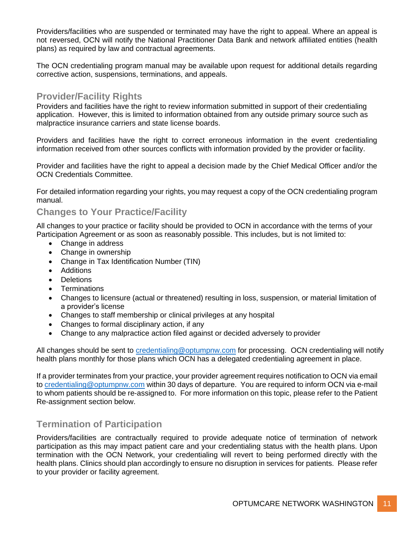Providers/facilities who are suspended or terminated may have the right to appeal. Where an appeal is not reversed, OCN will notify the National Practitioner Data Bank and network affiliated entities (health plans) as required by law and contractual agreements.

The OCN credentialing program manual may be available upon request for additional details regarding corrective action, suspensions, terminations, and appeals.

#### <span id="page-10-0"></span>**Provider/Facility Rights**

Providers and facilities have the right to review information submitted in support of their credentialing application. However, this is limited to information obtained from any outside primary source such as malpractice insurance carriers and state license boards.

Providers and facilities have the right to correct erroneous information in the event credentialing information received from other sources conflicts with information provided by the provider or facility.

Provider and facilities have the right to appeal a decision made by the Chief Medical Officer and/or the OCN Credentials Committee.

For detailed information regarding your rights, you may request a copy of the OCN credentialing program manual.

#### <span id="page-10-1"></span>**Changes to Your Practice/Facility**

All changes to your practice or facility should be provided to OCN in accordance with the terms of your Participation Agreement or as soon as reasonably possible. This includes, but is not limited to:

- Change in address
- Change in ownership
- Change in Tax Identification Number (TIN)
- Additions
- Deletions
- Terminations
- Changes to licensure (actual or threatened) resulting in loss, suspension, or material limitation of a provider's license
- Changes to staff membership or clinical privileges at any hospital
- Changes to formal disciplinary action, if any
- Change to any malpractice action filed against or decided adversely to provider

All changes should be sent to [credentialing@optumpnw.com](mailto:credentialing@optumpnw.com) for processing. OCN credentialing will notify health plans monthly for those plans which OCN has a delegated credentialing agreement in place.

If a provider terminates from your practice, your provider agreement requires notification to OCN via email to [credentialing@optumpnw.com](mailto:credentialing@optumpnw.com) within 30 days of departure. You are required to inform OCN via e-mail to whom patients should be re-assigned to. For more information on this topic, please refer to the Patient Re-assignment section below.

# <span id="page-10-2"></span>**Termination of Participation**

Providers/facilities are contractually required to provide adequate notice of termination of network participation as this may impact patient care and your credentialing status with the health plans. Upon termination with the OCN Network, your credentialing will revert to being performed directly with the health plans. Clinics should plan accordingly to ensure no disruption in services for patients. Please refer to your provider or facility agreement.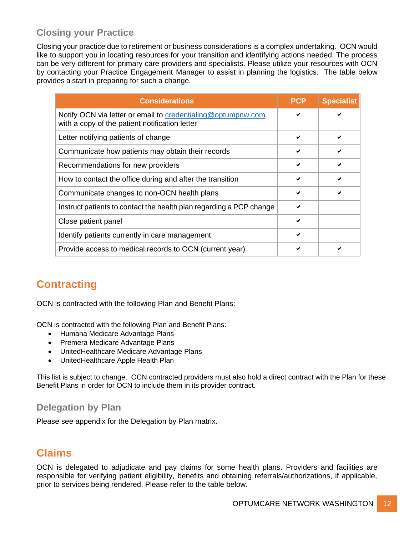# <span id="page-11-0"></span>**Closing your Practice**

Closing your practice due to retirement or business considerations is a complex undertaking. OCN would like to support you in locating resources for your transition and identifying actions needed. The process can be very different for primary care providers and specialists. Please utilize your resources with OCN by contacting your Practice Engagement Manager to assist in planning the logistics. The table below provides a start in preparing for such a change.

| <b>Considerations</b>                                                                                          | <b>PCP</b>   | <b>Specialist</b> |
|----------------------------------------------------------------------------------------------------------------|--------------|-------------------|
| Notify OCN via letter or email to credentialing@optumpnw.com<br>with a copy of the patient notification letter |              |                   |
| Letter notifying patients of change                                                                            | ✔            |                   |
| Communicate how patients may obtain their records                                                              | $\checkmark$ |                   |
| Recommendations for new providers                                                                              | ✔            |                   |
| How to contact the office during and after the transition                                                      | $\checkmark$ |                   |
| Communicate changes to non-OCN health plans                                                                    | $\checkmark$ |                   |
| Instruct patients to contact the health plan regarding a PCP change                                            |              |                   |
| Close patient panel                                                                                            | $\checkmark$ |                   |
| Identify patients currently in care management                                                                 | ✔            |                   |
| Provide access to medical records to OCN (current year)                                                        |              |                   |

# <span id="page-11-1"></span>**Contracting**

OCN is contracted with the following Plan and Benefit Plans:

OCN is contracted with the following Plan and Benefit Plans:

- Humana Medicare Advantage Plans
- Premera Medicare Advantage Plans
- UnitedHealthcare Medicare Advantage Plans
- UnitedHealthcare Apple Health Plan

This list is subject to change. OCN contracted providers must also hold a direct contract with the Plan for these Benefit Plans in order for OCN to include them in its provider contract.

### <span id="page-11-2"></span>**Delegation by Plan**

Please see appendix for the Delegation by Plan matrix.

# <span id="page-11-3"></span>**Claims**

OCN is delegated to adjudicate and pay claims for some health plans. Providers and facilities are responsible for verifying patient eligibility, benefits and obtaining referrals/authorizations, if applicable, prior to services being rendered. Please refer to the table below.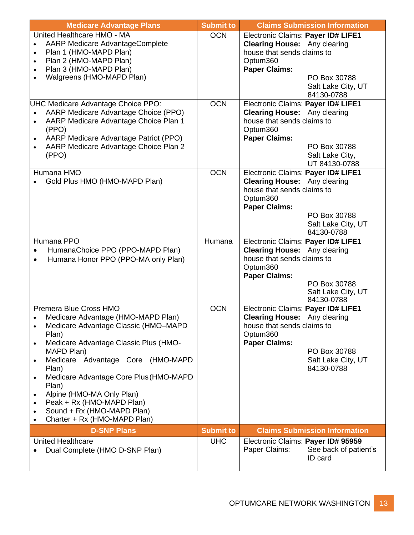| <b>Medicare Advantage Plans</b>                    | <b>Submit to</b> | <b>Claims Submission Information</b>   |
|----------------------------------------------------|------------------|----------------------------------------|
| United Healthcare HMO - MA                         | <b>OCN</b>       | Electronic Claims: Payer ID# LIFE1     |
| <b>AARP Medicare AdvantageComplete</b>             |                  | <b>Clearing House:</b> Any clearing    |
| Plan 1 (HMO-MAPD Plan)<br>$\bullet$                |                  | house that sends claims to             |
| Plan 2 (HMO-MAPD Plan)<br>$\bullet$                |                  | Optum360                               |
| Plan 3 (HMO-MAPD Plan)                             |                  | <b>Paper Claims:</b>                   |
| Walgreens (HMO-MAPD Plan)                          |                  | PO Box 30788                           |
|                                                    |                  | Salt Lake City, UT                     |
|                                                    |                  | 84130-0788                             |
| UHC Medicare Advantage Choice PPO:                 | <b>OCN</b>       | Electronic Claims: Payer ID# LIFE1     |
| AARP Medicare Advantage Choice (PPO)               |                  | <b>Clearing House:</b> Any clearing    |
| AARP Medicare Advantage Choice Plan 1<br>$\bullet$ |                  | house that sends claims to             |
| (PPO)                                              |                  | Optum360                               |
| AARP Medicare Advantage Patriot (PPO)              |                  | <b>Paper Claims:</b>                   |
| AARP Medicare Advantage Choice Plan 2              |                  | PO Box 30788                           |
| (PPO)                                              |                  | Salt Lake City,                        |
|                                                    |                  | UT 84130-0788                          |
| Humana HMO                                         | <b>OCN</b>       | Electronic Claims: Payer ID# LIFE1     |
| Gold Plus HMO (HMO-MAPD Plan)                      |                  | <b>Clearing House:</b> Any clearing    |
|                                                    |                  | house that sends claims to             |
|                                                    |                  | Optum360                               |
|                                                    |                  | <b>Paper Claims:</b>                   |
|                                                    |                  | PO Box 30788                           |
|                                                    |                  | Salt Lake City, UT<br>84130-0788       |
| Humana PPO                                         | Humana           | Electronic Claims: Payer ID# LIFE1     |
| HumanaChoice PPO (PPO-MAPD Plan)                   |                  | <b>Clearing House:</b> Any clearing    |
|                                                    |                  | house that sends claims to             |
| Humana Honor PPO (PPO-MA only Plan)                |                  | Optum360                               |
|                                                    |                  | <b>Paper Claims:</b>                   |
|                                                    |                  | PO Box 30788                           |
|                                                    |                  | Salt Lake City, UT                     |
|                                                    |                  | 84130-0788                             |
| Premera Blue Cross HMO                             | <b>OCN</b>       | Electronic Claims: Payer ID# LIFE1     |
| Medicare Advantage (HMO-MAPD Plan)                 |                  | <b>Clearing House:</b><br>Any clearing |
| Medicare Advantage Classic (HMO-MAPD<br>$\bullet$  |                  | house that sends claims to             |
| Plan)                                              |                  | Optum360                               |
| Medicare Advantage Classic Plus (HMO-<br>$\bullet$ |                  | <b>Paper Claims:</b>                   |
| MAPD Plan)                                         |                  | PO Box 30788                           |
| Medicare Advantage Core (HMO-MAPD<br>$\bullet$     |                  | Salt Lake City, UT                     |
| Plan)                                              |                  | 84130-0788                             |
| Medicare Advantage Core Plus (HMO-MAPD             |                  |                                        |
| Plan)                                              |                  |                                        |
| Alpine (HMO-MA Only Plan)<br>$\bullet$             |                  |                                        |
| Peak + Rx (HMO-MAPD Plan)                          |                  |                                        |
| Sound + Rx (HMO-MAPD Plan)<br>$\bullet$            |                  |                                        |
| Charter + Rx (HMO-MAPD Plan)                       |                  |                                        |
| <b>D-SNP Plans</b>                                 | <b>Submit to</b> | <b>Claims Submission Information</b>   |
| <b>United Healthcare</b>                           | <b>UHC</b>       | Electronic Claims: Payer ID# 95959     |
| Dual Complete (HMO D-SNP Plan)                     |                  | Paper Claims:<br>See back of patient's |
|                                                    |                  | ID card                                |
|                                                    |                  |                                        |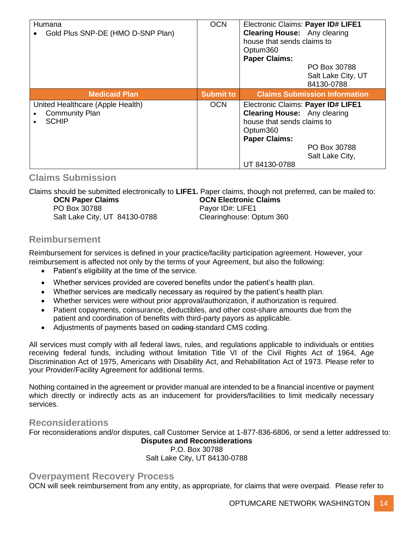| Humana<br>Gold Plus SNP-DE (HMO D-SNP Plan)                               | <b>OCN</b>       | Electronic Claims: Payer ID# LIFE1<br><b>Clearing House:</b> Any clearing<br>house that sends claims to<br>Optum360<br><b>Paper Claims:</b><br>PO Box 30788<br>Salt Lake City, UT<br>84130-0788 |
|---------------------------------------------------------------------------|------------------|-------------------------------------------------------------------------------------------------------------------------------------------------------------------------------------------------|
| <b>Medicaid Plan</b>                                                      | <b>Submit to</b> | <b>Claims Submission Information</b>                                                                                                                                                            |
| United Healthcare (Apple Health)<br><b>Community Plan</b><br><b>SCHIP</b> | <b>OCN</b>       | Electronic Claims: Payer ID# LIFE1<br><b>Clearing House:</b> Any clearing<br>house that sends claims to<br>Optum360<br><b>Paper Claims:</b><br>PO Box 30788<br>Salt Lake City,<br>UT 84130-0788 |

#### <span id="page-13-0"></span>**Claims Submission**

Claims should be submitted electronically to **LIFE1.** Paper claims, though not preferred, can be mailed to: **OCN Paper Claims OCN Electronic Claims** PO Box 30788 PO Box 30788 Salt Lake City, UT 84130-0788 Clearinghouse: Optum 360

### <span id="page-13-1"></span>**Reimbursement**

Reimbursement for services is defined in your practice/facility participation agreement. However, your reimbursement is affected not only by the terms of your Agreement, but also the following:

- Patient's eligibility at the time of the service.
- Whether services provided are covered benefits under the patient's health plan.
- Whether services are medically necessary as required by the patient's health plan.
- Whether services were without prior approval/authorization, if authorization is required.
- Patient copayments, coinsurance, deductibles, and other cost-share amounts due from the patient and coordination of benefits with third-party payors as applicable.
- Adjustments of payments based on coding-standard CMS coding.

All services must comply with all federal laws, rules, and regulations applicable to individuals or entities receiving federal funds, including without limitation Title VI of the Civil Rights Act of 1964, Age Discrimination Act of 1975, Americans with Disability Act, and Rehabilitation Act of 1973. Please refer to your Provider/Facility Agreement for additional terms.

Nothing contained in the agreement or provider manual are intended to be a financial incentive or payment which directly or indirectly acts as an inducement for providers/facilities to limit medically necessary services.

#### <span id="page-13-2"></span>**Reconsiderations**

For reconsiderations and/or disputes, call Customer Service at 1-877-836-6806, or send a letter addressed to:

#### **Disputes and Reconsiderations** P.O. Box 30788 Salt Lake City, UT 84130-0788

#### <span id="page-13-3"></span>**Overpayment Recovery Process**

OCN will seek reimbursement from any entity, as appropriate, for claims that were overpaid. Please refer to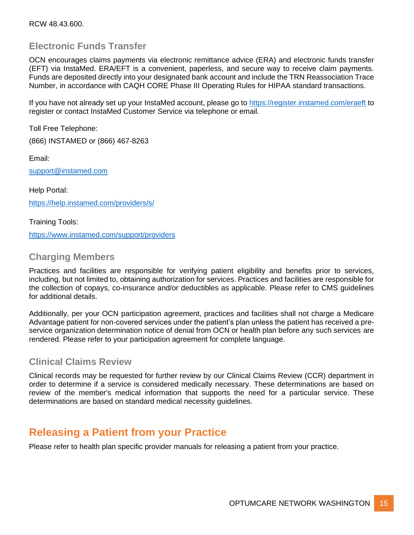### <span id="page-14-0"></span>**Electronic Funds Transfer**

OCN encourages claims payments via electronic remittance advice (ERA) and electronic funds transfer (EFT) via InstaMed. ERA/EFT is a convenient, paperless, and secure way to receive claim payments. Funds are deposited directly into your designated bank account and include the TRN Reassociation Trace Number, in accordance with CAQH CORE Phase III Operating Rules for HIPAA standard transactions.

If you have not already set up your InstaMed account, please go to<https://register.instamed.com/eraeft> to register or contact InstaMed Customer Service via telephone or email.

Toll Free Telephone:

(866) INSTAMED or (866) 467-8263

Email:

[support@instamed.com](mailto:support@instamed.com)

Help Portal: <https://help.instamed.com/providers/s/>

Training Tools: <https://www.instamed.com/support/providers>

#### <span id="page-14-1"></span>**Charging Members**

Practices and facilities are responsible for verifying patient eligibility and benefits prior to services, including, but not limited to, obtaining authorization for services. Practices and facilities are responsible for the collection of copays, co-insurance and/or deductibles as applicable. Please refer to CMS guidelines for additional details.

Additionally, per your OCN participation agreement, practices and facilities shall not charge a Medicare Advantage patient for non-covered services under the patient's plan unless the patient has received a preservice organization determination notice of denial from OCN or health plan before any such services are rendered. Please refer to your participation agreement for complete language.

### <span id="page-14-2"></span>**Clinical Claims Review**

Clinical records may be requested for further review by our Clinical Claims Review (CCR) department in order to determine if a service is considered medically necessary. These determinations are based on review of the member's medical information that supports the need for a particular service. These determinations are based on standard medical necessity guidelines.

# <span id="page-14-3"></span>**Releasing a Patient from your Practice**

Please refer to health plan specific provider manuals for releasing a patient from your practice.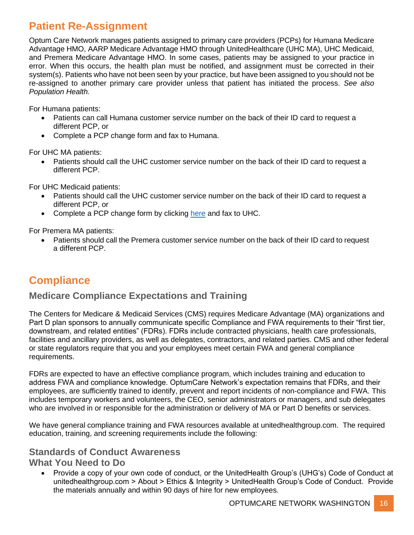# <span id="page-15-0"></span>**Patient Re-Assignment**

Optum Care Network manages patients assigned to primary care providers (PCPs) for Humana Medicare Advantage HMO, AARP Medicare Advantage HMO through UnitedHealthcare (UHC MA), UHC Medicaid, and Premera Medicare Advantage HMO. In some cases, patients may be assigned to your practice in error. When this occurs, the health plan must be notified, and assignment must be corrected in their system(s). Patients who have not been seen by your practice, but have been assigned to you should not be re-assigned to another primary care provider unless that patient has initiated the process. *See also Population Health.*

For Humana patients:

- Patients can call Humana customer service number on the back of their ID card to request a different PCP, or
- Complete a PCP change form and fax to Humana.

For UHC MA patients:

• Patients should call the UHC customer service number on the back of their ID card to request a different PCP.

For UHC Medicaid patients:

- Patients should call the UHC customer service number on the back of their ID card to request a different PCP, or
- Complete a PCP change form by clicking [here](https://www.uhcprovider.com/content/dam/provider/docs/public/commplan/wa/provider-info/WA-PCP-Change-Form.pdf) and fax to UHC.

For Premera MA patients:

• Patients should call the Premera customer service number on the back of their ID card to request a different PCP.

# <span id="page-15-1"></span>**Compliance**

### <span id="page-15-2"></span>**Medicare Compliance Expectations and Training**

The Centers for Medicare & Medicaid Services (CMS) requires Medicare Advantage (MA) organizations and Part D plan sponsors to annually communicate specific Compliance and FWA requirements to their "first tier, downstream, and related entities" (FDRs). FDRs include contracted physicians, health care professionals, facilities and ancillary providers, as well as delegates, contractors, and related parties. CMS and other federal or state regulators require that you and your employees meet certain FWA and general compliance requirements.

FDRs are expected to have an effective compliance program, which includes training and education to address FWA and compliance knowledge. OptumCare Network's expectation remains that FDRs, and their employees, are sufficiently trained to identify, prevent and report incidents of non-compliance and FWA. This includes temporary workers and volunteers, the CEO, senior administrators or managers, and sub delegates who are involved in or responsible for the administration or delivery of MA or Part D benefits or services.

We have general compliance training and FWA resources available at unitedhealthgroup.com. The required education, training, and screening requirements include the following:

#### **Standards of Conduct Awareness**

#### **What You Need to Do**

• Provide a copy of your own code of conduct, or the UnitedHealth Group's (UHG's) Code of Conduct at unitedhealthgroup.com > About > Ethics & Integrity > UnitedHealth Group's Code of Conduct. Provide the materials annually and within 90 days of hire for new employees.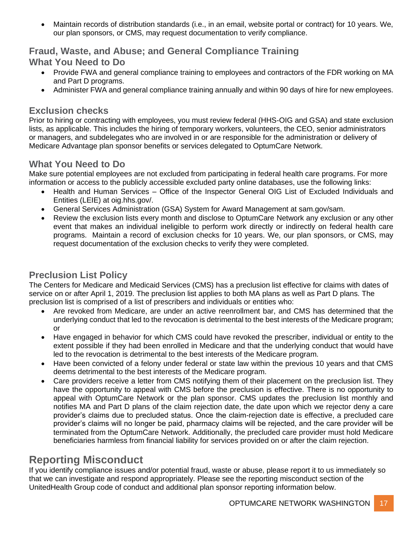• Maintain records of distribution standards (i.e., in an email, website portal or contract) for 10 years. We, our plan sponsors, or CMS, may request documentation to verify compliance.

### **Fraud, Waste, and Abuse; and General Compliance Training What You Need to Do**

- Provide FWA and general compliance training to employees and contractors of the FDR working on MA and Part D programs.
- Administer FWA and general compliance training annually and within 90 days of hire for new employees.

#### **Exclusion checks**

Prior to hiring or contracting with employees, you must review federal (HHS-OIG and GSA) and state exclusion lists, as applicable. This includes the hiring of temporary workers, volunteers, the CEO, senior administrators or managers, and subdelegates who are involved in or are responsible for the administration or delivery of Medicare Advantage plan sponsor benefits or services delegated to OptumCare Network.

# **What You Need to Do**

Make sure potential employees are not excluded from participating in federal health care programs. For more information or access to the publicly accessible excluded party online databases, use the following links:

- Health and Human Services Office of the Inspector General OIG List of Excluded Individuals and Entities (LEIE) at oig.hhs.gov/.
- General Services Administration (GSA) System for Award Management at sam.gov/sam.
- Review the exclusion lists every month and disclose to OptumCare Network any exclusion or any other event that makes an individual ineligible to perform work directly or indirectly on federal health care programs. Maintain a record of exclusion checks for 10 years. We, our plan sponsors, or CMS, may request documentation of the exclusion checks to verify they were completed.

# **Preclusion List Policy**

The Centers for Medicare and Medicaid Services (CMS) has a preclusion list effective for claims with dates of service on or after April 1, 2019. The preclusion list applies to both MA plans as well as Part D plans. The preclusion list is comprised of a list of prescribers and individuals or entities who:

- Are revoked from Medicare, are under an active reenrollment bar, and CMS has determined that the underlying conduct that led to the revocation is detrimental to the best interests of the Medicare program; or
- Have engaged in behavior for which CMS could have revoked the prescriber, individual or entity to the extent possible if they had been enrolled in Medicare and that the underlying conduct that would have led to the revocation is detrimental to the best interests of the Medicare program.
- Have been convicted of a felony under federal or state law within the previous 10 years and that CMS deems detrimental to the best interests of the Medicare program.
- Care providers receive a letter from CMS notifying them of their placement on the preclusion list. They have the opportunity to appeal with CMS before the preclusion is effective. There is no opportunity to appeal with OptumCare Network or the plan sponsor. CMS updates the preclusion list monthly and notifies MA and Part D plans of the claim rejection date, the date upon which we rejector deny a care provider's claims due to precluded status. Once the claim-rejection date is effective, a precluded care provider's claims will no longer be paid, pharmacy claims will be rejected, and the care provider will be terminated from the OptumCare Network. Additionally, the precluded care provider must hold Medicare beneficiaries harmless from financial liability for services provided on or after the claim rejection.

# <span id="page-16-0"></span>**Reporting Misconduct**

If you identify compliance issues and/or potential fraud, waste or abuse, please report it to us immediately so that we can investigate and respond appropriately. Please see the reporting misconduct section of the UnitedHealth Group code of conduct and additional plan sponsor reporting information below.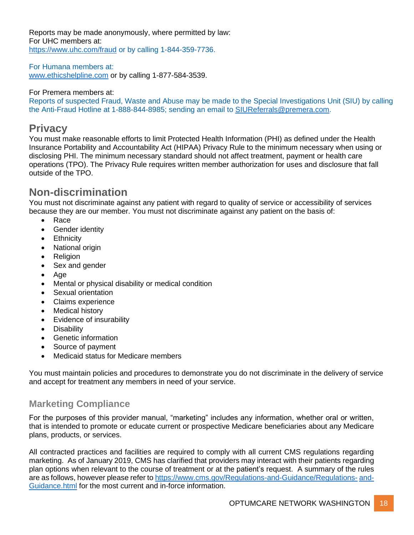Reports may be made anonymously, where permitted by law: For UHC members at: <https://www.uhc.com/fraud> or by calling 1-844-359-7736.

For Humana members at: [www.ethicshelpline.com](http://www.ethicshelpline.com/) or by calling 1-877-584-3539.

#### For Premera members at:

Reports of suspected Fraud, Waste and Abuse may be made to the Special Investigations Unit (SIU) by calling the Anti-Fraud Hotline at 1-888-844-8985; sending an email to [SIUReferrals@premera.com.](mailto:SIUReferrals@premera.com)

# <span id="page-17-0"></span>**Privacy**

You must make reasonable efforts to limit Protected Health Information (PHI) as defined under the Health Insurance Portability and Accountability Act (HIPAA) Privacy Rule to the minimum necessary when using or disclosing PHI. The minimum necessary standard should not affect treatment, payment or health care operations (TPO). The Privacy Rule requires written member authorization for uses and disclosure that fall outside of the TPO.

# <span id="page-17-1"></span>**Non-discrimination**

You must not discriminate against any patient with regard to quality of service or accessibility of services because they are our member. You must not discriminate against any patient on the basis of:

- Race
- Gender identity
- Ethnicity
- National origin
- Religion
- Sex and gender
- Age
- Mental or physical disability or medical condition
- Sexual orientation
- Claims experience
- Medical history
- Evidence of insurability
- Disability
- Genetic information
- Source of payment
- Medicaid status for Medicare members

You must maintain policies and procedures to demonstrate you do not discriminate in the delivery of service and accept for treatment any members in need of your service.

# <span id="page-17-2"></span>**Marketing Compliance**

For the purposes of this provider manual, "marketing" includes any information, whether oral or written, that is intended to promote or educate current or prospective Medicare beneficiaries about any Medicare plans, products, or services.

All contracted practices and facilities are required to comply with all current CMS regulations regarding marketing. As of January 2019, CMS has clarified that providers may interact with their patients regarding plan options when relevant to the course of treatment or at the patient's request. A summary of the rules are as follows, however please refer t[o https://www.cms.gov/Regulations-and-Guidance/Regulations-](https://www.cms.gov/Regulations-and-Guidance/Regulations-and-Guidance.html) [and-](https://www.cms.gov/Regulations-and-Guidance/Regulations-and-Guidance.html)[Guidance.html](https://www.cms.gov/Regulations-and-Guidance/Regulations-and-Guidance.html) for the most current and in-force information.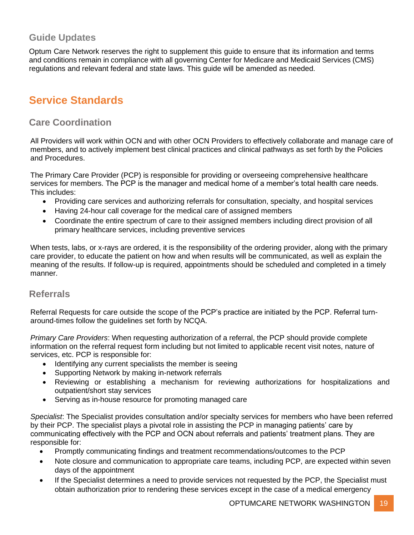### <span id="page-18-0"></span>**Guide Updates**

Optum Care Network reserves the right to supplement this guide to ensure that its information and terms and conditions remain in compliance with all governing Center for Medicare and Medicaid Services (CMS) regulations and relevant federal and state laws. This guide will be amended as needed.

# <span id="page-18-1"></span>**Service Standards**

### <span id="page-18-2"></span>**Care Coordination**

All Providers will work within OCN and with other OCN Providers to effectively collaborate and manage care of members, and to actively implement best clinical practices and clinical pathways as set forth by the Policies and Procedures.

The Primary Care Provider (PCP) is responsible for providing or overseeing comprehensive healthcare services for members. The PCP is the manager and medical home of a member's total health care needs. This includes:

- Providing care services and authorizing referrals for consultation, specialty, and hospital services
- Having 24-hour call coverage for the medical care of assigned members
- Coordinate the entire spectrum of care to their assigned members including direct provision of all primary healthcare services, including preventive services

When tests, labs, or x-rays are ordered, it is the responsibility of the ordering provider, along with the primary care provider, to educate the patient on how and when results will be communicated, as well as explain the meaning of the results. If follow-up is required, appointments should be scheduled and completed in a timely manner.

#### <span id="page-18-3"></span>**Referrals**

Referral Requests for care outside the scope of the PCP's practice are initiated by the PCP. Referral turnaround-times follow the guidelines set forth by NCQA.

*Primary Care Providers*: When requesting authorization of a referral, the PCP should provide complete information on the referral request form including but not limited to applicable recent visit notes, nature of services, etc. PCP is responsible for:

- Identifying any current specialists the member is seeing
- Supporting Network by making in-network referrals
- Reviewing or establishing a mechanism for reviewing authorizations for hospitalizations and outpatient/short stay services
- Serving as in-house resource for promoting managed care

*Specialist*: The Specialist provides consultation and/or specialty services for members who have been referred by their PCP. The specialist plays a pivotal role in assisting the PCP in managing patients' care by communicating effectively with the PCP and OCN about referrals and patients' treatment plans. They are responsible for:

- Promptly communicating findings and treatment recommendations/outcomes to the PCP
- Note closure and communication to appropriate care teams, including PCP, are expected within seven days of the appointment
- If the Specialist determines a need to provide services not requested by the PCP, the Specialist must obtain authorization prior to rendering these services except in the case of a medical emergency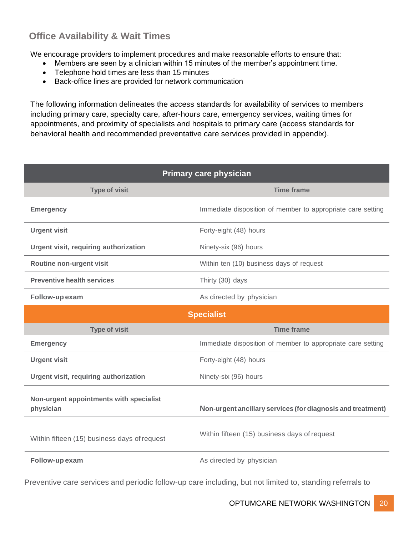# <span id="page-19-0"></span>**Office Availability & Wait Times**

We encourage providers to implement procedures and make reasonable efforts to ensure that:

- Members are seen by a clinician within 15 minutes of the member's appointment time.
- Telephone hold times are less than 15 minutes
- Back-office lines are provided for network communication

The following information delineates the access standards for availability of services to members including primary care, specialty care, after-hours care, emergency services, waiting times for appointments, and proximity of specialists and hospitals to primary care (access standards for behavioral health and recommended preventative care services provided in appendix).

| <b>Primary care physician</b>                        |                                                             |  |
|------------------------------------------------------|-------------------------------------------------------------|--|
| <b>Type of visit</b>                                 | <b>Time frame</b>                                           |  |
| <b>Emergency</b>                                     | Immediate disposition of member to appropriate care setting |  |
| <b>Urgent visit</b>                                  | Forty-eight (48) hours                                      |  |
| Urgent visit, requiring authorization                | Ninety-six (96) hours                                       |  |
| Routine non-urgent visit                             | Within ten (10) business days of request                    |  |
| <b>Preventive health services</b>                    | Thirty (30) days                                            |  |
| Follow-up exam                                       | As directed by physician                                    |  |
|                                                      | <b>Specialist</b>                                           |  |
| <b>Type of visit</b>                                 | <b>Time frame</b>                                           |  |
| <b>Emergency</b>                                     | Immediate disposition of member to appropriate care setting |  |
| <b>Urgent visit</b>                                  | Forty-eight (48) hours                                      |  |
| Urgent visit, requiring authorization                | Ninety-six (96) hours                                       |  |
| Non-urgent appointments with specialist<br>physician | Non-urgent ancillary services (for diagnosis and treatment) |  |
| Within fifteen (15) business days of request         | Within fifteen (15) business days of request                |  |
|                                                      |                                                             |  |

Preventive care services and periodic follow-up care including, but not limited to, standing referrals to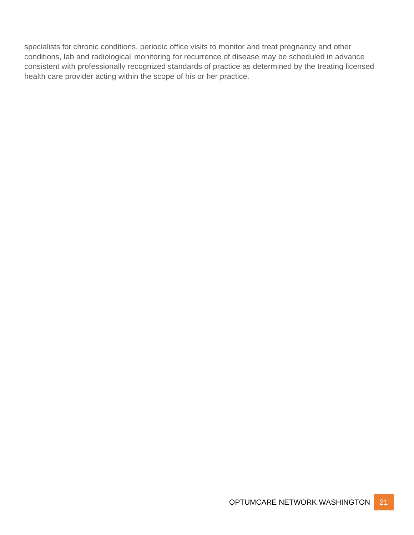specialists for chronic conditions, periodic office visits to monitor and treat pregnancy and other conditions, lab and radiological monitoring for recurrence of disease may be scheduled in advance consistent with professionally recognized standards of practice as determined by the treating licensed health care provider acting within the scope of his or her practice.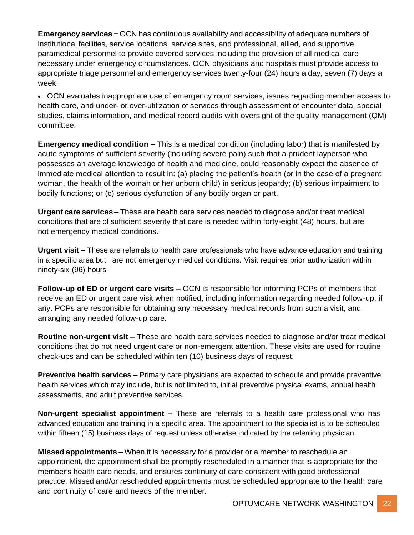**Emergency services −** OCN has continuous availability and accessibility of adequate numbers of institutional facilities, service locations, service sites, and professional, allied, and supportive paramedical personnel to provide covered services including the provision of all medical care necessary under emergency circumstances. OCN physicians and hospitals must provide access to appropriate triage personnel and emergency services twenty-four (24) hours a day, seven (7) days a week.

• OCN evaluates inappropriate use of emergency room services, issues regarding member access to health care, and under- or over-utilization of services through assessment of encounter data, special studies, claims information, and medical record audits with oversight of the quality management (QM) committee.

**Emergency medical condition –** This is a medical condition (including labor) that is manifested by acute symptoms of sufficient severity (including severe pain) such that a prudent layperson who possesses an average knowledge of health and medicine, could reasonably expect the absence of immediate medical attention to result in: (a) placing the patient's health (or in the case of a pregnant woman, the health of the woman or her unborn child) in serious jeopardy; (b) serious impairment to bodily functions; or (c) serious dysfunction of any bodily organ or part.

**Urgent care services –** These are health care services needed to diagnose and/or treat medical conditions that are of sufficient severity that care is needed within forty-eight (48) hours, but are not emergency medical conditions.

**Urgent visit –** These are referrals to health care professionals who have advance education and training in a specific area but are not emergency medical conditions. Visit requires prior authorization within ninety-six (96) hours

**Follow-up of ED or urgent care visits –** OCN is responsible for informing PCPs of members that receive an ED or urgent care visit when notified, including information regarding needed follow-up, if any. PCPs are responsible for obtaining any necessary medical records from such a visit, and arranging any needed follow-up care.

**Routine non-urgent visit –** These are health care services needed to diagnose and/or treat medical conditions that do not need urgent care or non-emergent attention. These visits are used for routine check-ups and can be scheduled within ten (10) business days of request.

**Preventive health services –** Primary care physicians are expected to schedule and provide preventive health services which may include, but is not limited to, initial preventive physical exams, annual health assessments, and adult preventive services.

**Non-urgent specialist appointment –** These are referrals to a health care professional who has advanced education and training in a specific area. The appointment to the specialist is to be scheduled within fifteen (15) business days of request unless otherwise indicated by the referring physician.

**Missed appointments –** When it is necessary for a provider or a member to reschedule an appointment, the appointment shall be promptly rescheduled in a manner that is appropriate for the member's health care needs, and ensures continuity of care consistent with good professional practice. Missed and/or rescheduled appointments must be scheduled appropriate to the health care and continuity of care and needs of the member.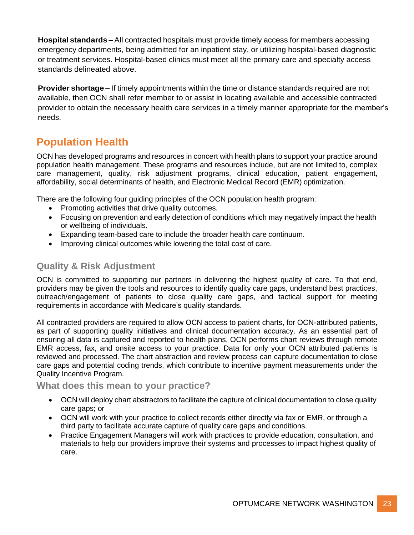**Hospital standards –** All contracted hospitals must provide timely access for members accessing emergency departments, being admitted for an inpatient stay, or utilizing hospital-based diagnostic or treatment services. Hospital-based clinics must meet all the primary care and specialty access standards delineated above.

**Provider shortage –** If timely appointments within the time or distance standards required are not available, then OCN shall refer member to or assist in locating available and accessible contracted provider to obtain the necessary health care services in a timely manner appropriate for the member's needs.

# <span id="page-22-0"></span>**Population Health**

OCN has developed programs and resources in concert with health plans to support your practice around population health management. These programs and resources include, but are not limited to, complex care management, quality, risk adjustment programs, clinical education, patient engagement, affordability, social determinants of health, and Electronic Medical Record (EMR) optimization.

There are the following four guiding principles of the OCN population health program:

- Promoting activities that drive quality outcomes.
- Focusing on prevention and early detection of conditions which may negatively impact the health or wellbeing of individuals.
- Expanding team-based care to include the broader health care continuum.
- Improving clinical outcomes while lowering the total cost of care.

### <span id="page-22-1"></span>**Quality & Risk Adjustment**

OCN is committed to supporting our partners in delivering the highest quality of care. To that end, providers may be given the tools and resources to identify quality care gaps, understand best practices, outreach/engagement of patients to close quality care gaps, and tactical support for meeting requirements in accordance with Medicare's quality standards.

All contracted providers are required to allow OCN access to patient charts, for OCN-attributed patients, as part of supporting quality initiatives and clinical documentation accuracy. As an essential part of ensuring all data is captured and reported to health plans, OCN performs chart reviews through remote EMR access, fax, and onsite access to your practice. Data for only your OCN attributed patients is reviewed and processed. The chart abstraction and review process can capture documentation to close care gaps and potential coding trends, which contribute to incentive payment measurements under the Quality Incentive Program.

#### <span id="page-22-2"></span>**What does this mean to your practice?**

- OCN will deploy chart abstractors to facilitate the capture of clinical documentation to close quality care gaps; or
- OCN will work with your practice to collect records either directly via fax or EMR, or through a third party to facilitate accurate capture of quality care gaps and conditions.
- Practice Engagement Managers will work with practices to provide education, consultation, and materials to help our providers improve their systems and processes to impact highest quality of care.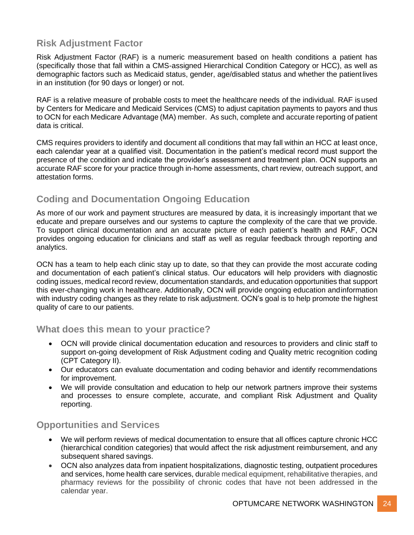### <span id="page-23-0"></span>**Risk Adjustment Factor**

Risk Adjustment Factor (RAF) is a numeric measurement based on health conditions a patient has (specifically those that fall within a CMS-assigned Hierarchical Condition Category or HCC), as well as demographic factors such as Medicaid status, gender, age/disabled status and whether the patient lives in an institution (for 90 days or longer) or not.

RAF is a relative measure of probable costs to meet the healthcare needs of the individual. RAF isused by Centers for Medicare and Medicaid Services (CMS) to adjust capitation payments to payors and thus to OCN for each Medicare Advantage (MA) member. As such, complete and accurate reporting of patient data is critical.

CMS requires providers to identify and document all conditions that may fall within an HCC at least once, each calendar year at a qualified visit. Documentation in the patient's medical record must support the presence of the condition and indicate the provider's assessment and treatment plan. OCN supports an accurate RAF score for your practice through in-home assessments, chart review, outreach support, and attestation forms.

# <span id="page-23-1"></span>**Coding and Documentation Ongoing Education**

As more of our work and payment structures are measured by data, it is increasingly important that we educate and prepare ourselves and our systems to capture the complexity of the care that we provide. To support clinical documentation and an accurate picture of each patient's health and RAF, OCN provides ongoing education for clinicians and staff as well as regular feedback through reporting and analytics.

OCN has a team to help each clinic stay up to date, so that they can provide the most accurate coding and documentation of each patient's clinical status. Our educators will help providers with diagnostic coding issues, medical record review, documentation standards, and education opportunities that support this ever-changing work in healthcare. Additionally, OCN will provide ongoing education andinformation with industry coding changes as they relate to risk adjustment. OCN's goal is to help promote the highest quality of care to our patients.

### <span id="page-23-2"></span>**What does this mean to your practice?**

- OCN will provide clinical documentation education and resources to providers and clinic staff to support on-going development of Risk Adjustment coding and Quality metric recognition coding (CPT Category II).
- Our educators can evaluate documentation and coding behavior and identify recommendations for improvement.
- We will provide consultation and education to help our network partners improve their systems and processes to ensure complete, accurate, and compliant Risk Adjustment and Quality reporting.

# <span id="page-23-3"></span>**Opportunities and Services**

- We will perform reviews of medical documentation to ensure that all offices capture chronic HCC (hierarchical condition categories) that would affect the risk adjustment reimbursement, and any subsequent shared savings.
- OCN also analyzes data from inpatient hospitalizations, diagnostic testing, outpatient procedures and services, home health care services, durable medical equipment, rehabilitative therapies, and pharmacy reviews for the possibility of chronic codes that have not been addressed in the calendar year.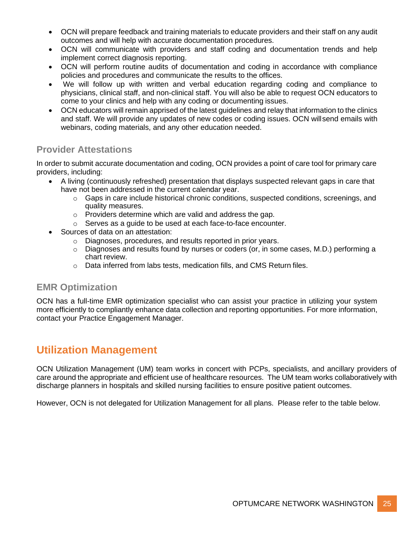- OCN will prepare feedback and training materials to educate providers and their staff on any audit outcomes and will help with accurate documentation procedures.
- OCN will communicate with providers and staff coding and documentation trends and help implement correct diagnosis reporting.
- OCN will perform routine audits of documentation and coding in accordance with compliance policies and procedures and communicate the results to the offices.
- We will follow up with written and verbal education regarding coding and compliance to physicians, clinical staff, and non-clinical staff. You will also be able to request OCN educators to come to your clinics and help with any coding or documenting issues.
- OCN educators will remain apprised of the latest guidelines and relay that information to the clinics and staff. We will provide any updates of new codes or coding issues. OCN willsend emails with webinars, coding materials, and any other education needed.

### <span id="page-24-0"></span>**Provider Attestations**

In order to submit accurate documentation and coding, OCN provides a point of care tool for primary care providers, including:

- A living (continuously refreshed) presentation that displays suspected relevant gaps in care that have not been addressed in the current calendar year.
	- $\circ$  Gaps in care include historical chronic conditions, suspected conditions, screenings, and quality measures.
	- o Providers determine which are valid and address the gap.
	- o Serves as a guide to be used at each face-to-face encounter.
- Sources of data on an attestation:
	- o Diagnoses, procedures, and results reported in prior years.
	- o Diagnoses and results found by nurses or coders (or, in some cases, M.D.) performing a chart review.
	- o Data inferred from labs tests, medication fills, and CMS Return files.

# <span id="page-24-1"></span>**EMR Optimization**

OCN has a full-time EMR optimization specialist who can assist your practice in utilizing your system more efficiently to compliantly enhance data collection and reporting opportunities. For more information, contact your Practice Engagement Manager.

# <span id="page-24-2"></span>**Utilization Management**

OCN Utilization Management (UM) team works in concert with PCPs, specialists, and ancillary providers of care around the appropriate and efficient use of healthcare resources. The UM team works collaboratively with discharge planners in hospitals and skilled nursing facilities to ensure positive patient outcomes.

However, OCN is not delegated for Utilization Management for all plans. Please refer to the table below.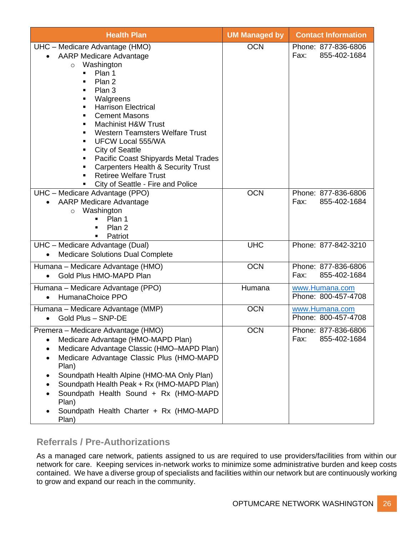| <b>Health Plan</b>                                                                                                                                                                                                                                                                                                                                                                                                                                                                                                                                                                                                                   | <b>UM Managed by</b> | <b>Contact Information</b>                  |
|--------------------------------------------------------------------------------------------------------------------------------------------------------------------------------------------------------------------------------------------------------------------------------------------------------------------------------------------------------------------------------------------------------------------------------------------------------------------------------------------------------------------------------------------------------------------------------------------------------------------------------------|----------------------|---------------------------------------------|
| UHC - Medicare Advantage (HMO)<br><b>AARP Medicare Advantage</b><br>Washington<br>$\circ$<br>Plan 1<br>٠<br>Plan 2<br>Plan 3<br>$\blacksquare$<br>Walgreens<br>$\blacksquare$<br><b>Harrison Electrical</b><br>$\blacksquare$<br><b>Cement Masons</b><br>$\blacksquare$<br><b>Machinist H&amp;W Trust</b><br>٠<br><b>Western Teamsters Welfare Trust</b><br>٠<br><b>UFCW Local 555/WA</b><br>$\blacksquare$<br><b>City of Seattle</b><br>٠<br>Pacific Coast Shipyards Metal Trades<br>٠<br><b>Carpenters Health &amp; Security Trust</b><br>٠<br><b>Retiree Welfare Trust</b><br>$\blacksquare$<br>City of Seattle - Fire and Police | <b>OCN</b>           | Phone: 877-836-6806<br>Fax:<br>855-402-1684 |
| UHC - Medicare Advantage (PPO)<br><b>AARP Medicare Advantage</b><br>Washington<br>$\circ$<br>Plan 1<br>Plan 2<br>Patriot<br>п                                                                                                                                                                                                                                                                                                                                                                                                                                                                                                        | <b>OCN</b>           | Phone: 877-836-6806<br>855-402-1684<br>Fax: |
| UHC - Medicare Advantage (Dual)<br><b>Medicare Solutions Dual Complete</b>                                                                                                                                                                                                                                                                                                                                                                                                                                                                                                                                                           | <b>UHC</b>           | Phone: 877-842-3210                         |
| Humana - Medicare Advantage (HMO)<br>Gold Plus HMO-MAPD Plan                                                                                                                                                                                                                                                                                                                                                                                                                                                                                                                                                                         | <b>OCN</b>           | Phone: 877-836-6806<br>855-402-1684<br>Fax: |
| Humana - Medicare Advantage (PPO)<br>HumanaChoice PPO<br>$\bullet$                                                                                                                                                                                                                                                                                                                                                                                                                                                                                                                                                                   | Humana               | www.Humana.com<br>Phone: 800-457-4708       |
| Humana – Medicare Advantage (MMP)<br>Gold Plus - SNP-DE<br>$\bullet$                                                                                                                                                                                                                                                                                                                                                                                                                                                                                                                                                                 | <b>OCN</b>           | www.Humana.com<br>Phone: 800-457-4708       |
| Premera - Medicare Advantage (HMO)<br>Medicare Advantage (HMO-MAPD Plan)<br>Medicare Advantage Classic (HMO-MAPD Plan)<br>Medicare Advantage Classic Plus (HMO-MAPD<br>$\bullet$<br>Plan)<br>Soundpath Health Alpine (HMO-MA Only Plan)<br>Soundpath Health Peak + Rx (HMO-MAPD Plan)<br>Soundpath Health Sound + Rx (HMO-MAPD<br>Plan)<br>Soundpath Health Charter + Rx (HMO-MAPD<br>Plan)                                                                                                                                                                                                                                          | <b>OCN</b>           | Phone: 877-836-6806<br>855-402-1684<br>Fax: |

# <span id="page-25-0"></span>**Referrals / Pre-Authorizations**

As a managed care network, patients assigned to us are required to use providers/facilities from within our network for care. Keeping services in-network works to minimize some administrative burden and keep costs contained. We have a diverse group of specialists and facilities within our network but are continuously working to grow and expand our reach in the community.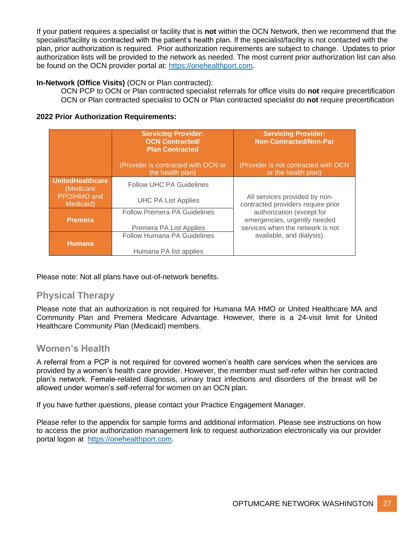If your patient requires a specialist or facility that is **not** within the OCN Network, then we recommend that the specialist/facility is contracted with the patient's health plan. If the specialist/facility is not contacted with the plan, prior authorization is required. Prior authorization requirements are subject to change. Updates to prior authorization lists will be provided to the network as needed. The most current prior authorization list can also be found on the OCN provider portal at: [https://onehealthport.com.](https://nam11.safelinks.protection.outlook.com/?url=https%3A%2F%2Fonehealthport.com%2F&data=04%7C01%7Cmegan.rajkovic%40optum.optumcare.com%7C765e76831e934e0bcf9508d98daee86f%7C85f46a4d265f41b9aaefc494b7617e7f%7C0%7C0%7C637696605856624034%7CUnknown%7CTWFpbGZsb3d8eyJWIjoiMC4wLjAwMDAiLCJQIjoiV2luMzIiLCJBTiI6Ik1haWwiLCJXVCI6Mn0%3D%7C1000&sdata=8bp4uLdLV3xYsxwWYLUwdmpaLDOddJfQCB1%2BJVMpPbw%3D&reserved=0)

#### **In-Network (Office Visits)** (OCN or Plan contracted):

OCN PCP to OCN or Plan contracted specialist referrals for office visits do **not** require precertification OCN or Plan contracted specialist to OCN or Plan contracted specialist do **not** require precertification

#### **2022 Prior Authorization Requirements:**

|                                       | <b>Servicing Provider:</b><br><b>OCN Contracted/</b><br><b>Plan Contracted</b> | <b>Servicing Provider:</b><br><b>Non-Contracted/Non-Par</b>         |
|---------------------------------------|--------------------------------------------------------------------------------|---------------------------------------------------------------------|
|                                       | (Provider is contracted with OCN or<br>the health plan)                        | (Provider is not contracted with OCN<br>or the health plan)         |
| <b>UnitedHealthcare</b><br>(Medicare) | <b>Follow UHC PA Guidelines</b>                                                |                                                                     |
| PPO/HMO and<br>Medicaid)              | <b>UHC PA List Applies</b>                                                     | All services provided by non-<br>contracted providers require prior |
|                                       | <b>Follow Premera PA Guidelines</b>                                            | authorization (except for                                           |
| <b>Premera</b>                        | Premera PA List Applies                                                        | emergencies, urgently needed<br>services when the network is not    |
|                                       | <b>Follow Humana PA Guidelines</b>                                             | available, and dialysis).                                           |
| <b>Humana</b>                         | Humana PA list applies                                                         |                                                                     |

Please note: Not all plans have out-of-network benefits.

### <span id="page-26-0"></span>**Physical Therapy**

Please note that an authorization is not required for Humana MA HMO or United Healthcare MA and Community Plan and Premera Medicare Advantage. However, there is a 24-visit limit for United Healthcare Community Plan (Medicaid) members.

#### <span id="page-26-1"></span>**Women's Health**

A referral from a PCP is not required for covered women's health care services when the services are provided by a women's health care provider. However, the member must self-refer within her contracted plan's network. Female-related diagnosis, urinary tract infections and disorders of the breast will be allowed under women's self-referral for women on an OCN plan.

If you have further questions, please contact your Practice Engagement Manager.

Please refer to the appendix for sample forms and additional information. Please see instructions on how to access the prior authorization management link to request authorization electronically via our provider portal logon at [https://onehealthport.com.](https://nam11.safelinks.protection.outlook.com/?url=https%3A%2F%2Fonehealthport.com%2F&data=04%7C01%7Cmegan.rajkovic%40optum.optumcare.com%7C765e76831e934e0bcf9508d98daee86f%7C85f46a4d265f41b9aaefc494b7617e7f%7C0%7C0%7C637696605856624034%7CUnknown%7CTWFpbGZsb3d8eyJWIjoiMC4wLjAwMDAiLCJQIjoiV2luMzIiLCJBTiI6Ik1haWwiLCJXVCI6Mn0%3D%7C1000&sdata=8bp4uLdLV3xYsxwWYLUwdmpaLDOddJfQCB1%2BJVMpPbw%3D&reserved=0)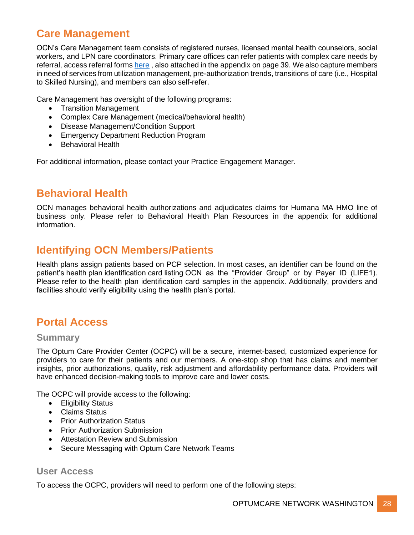# <span id="page-27-0"></span>**Care Management**

OCN's Care Management team consists of registered nurses, licensed mental health counselors, social workers, and LPN care coordinators. Primary care offices can refer patients with complex care needs by referral, access referral forms [here](https://www.optumpnw.com/Provider.aspx) , also attached in the appendix on page 39. We also capture members in need of services from utilization management, pre-authorization trends, transitions of care (i.e., Hospital to Skilled Nursing), and members can also self-refer.

Care Management has oversight of the following programs:

- Transition Management
- Complex Care Management (medical/behavioral health)
- Disease Management/Condition Support
- Emergency Department Reduction Program
- Behavioral Health

For additional information, please contact your Practice Engagement Manager.

# <span id="page-27-1"></span>**Behavioral Health**

OCN manages behavioral health authorizations and adjudicates claims for Humana MA HMO line of business only. Please refer to Behavioral Health Plan Resources in the appendix for additional information.

# <span id="page-27-2"></span>**Identifying OCN Members/Patients**

Health plans assign patients based on PCP selection. In most cases, an identifier can be found on the patient's health plan identification card listing OCN as the "Provider Group" or by Payer ID (LIFE1). Please refer to the health plan identification card samples in the appendix. Additionally, providers and facilities should verify eligibility using the health plan's portal.

# <span id="page-27-3"></span>**Portal Access**

#### <span id="page-27-4"></span>**Summary**

The Optum Care Provider Center (OCPC) will be a secure, internet-based, customized experience for providers to care for their patients and our members. A one-stop shop that has claims and member insights, prior authorizations, quality, risk adjustment and affordability performance data. Providers will have enhanced decision-making tools to improve care and lower costs.

The OCPC will provide access to the following:

- Eligibility Status
- Claims Status
- Prior Authorization Status
- Prior Authorization Submission
- Attestation Review and Submission
- Secure Messaging with Optum Care Network Teams

#### <span id="page-27-5"></span>**User Access**

To access the OCPC, providers will need to perform one of the following steps: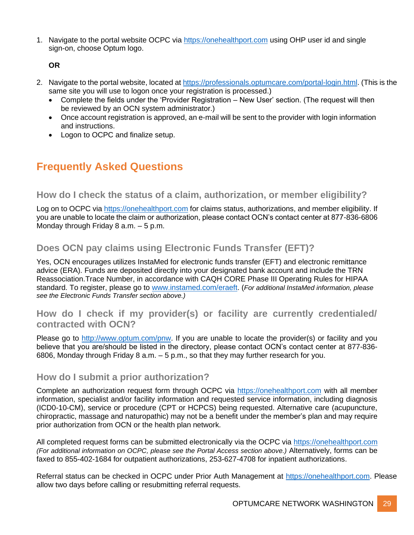1. Navigate to the portal website OCPC via [https://onehealthport.com](https://nam11.safelinks.protection.outlook.com/?url=https%3A%2F%2Fonehealthport.com%2F&data=04%7C01%7Cmegan.rajkovic%40optum.optumcare.com%7C765e76831e934e0bcf9508d98daee86f%7C85f46a4d265f41b9aaefc494b7617e7f%7C0%7C0%7C637696605856644020%7CUnknown%7CTWFpbGZsb3d8eyJWIjoiMC4wLjAwMDAiLCJQIjoiV2luMzIiLCJBTiI6Ik1haWwiLCJXVCI6Mn0%3D%7C1000&sdata=yMd%2BWlx997NiA12%2B3HOszPJ6iQlQyVe8MNN71bo%2BNkg%3D&reserved=0) using OHP user id and single sign-on, choose Optum logo.

**OR**

- 2. Navigate to the portal website, located at [https://professionals.optumcare.com/portal-login.html.](https://professionals.optumcare.com/portal-login.html) (This is the same site you will use to logon once your registration is processed.)
	- Complete the fields under the 'Provider Registration New User' section. (The request will then be reviewed by an OCN system administrator.)
	- Once account registration is approved, an e-mail will be sent to the provider with login information and instructions.
	- Logon to OCPC and finalize setup.

# <span id="page-28-0"></span>**Frequently Asked Questions**

### <span id="page-28-1"></span>**How do I check the status of a claim, authorization, or member eligibility?**

Log on to OCPC via [https://onehealthport.com](https://nam11.safelinks.protection.outlook.com/?url=https%3A%2F%2Fonehealthport.com%2F&data=04%7C01%7Cmegan.rajkovic%40optum.optumcare.com%7C765e76831e934e0bcf9508d98daee86f%7C85f46a4d265f41b9aaefc494b7617e7f%7C0%7C0%7C637696605856644020%7CUnknown%7CTWFpbGZsb3d8eyJWIjoiMC4wLjAwMDAiLCJQIjoiV2luMzIiLCJBTiI6Ik1haWwiLCJXVCI6Mn0%3D%7C1000&sdata=yMd%2BWlx997NiA12%2B3HOszPJ6iQlQyVe8MNN71bo%2BNkg%3D&reserved=0) for claims status, authorizations, and member eligibility. If you are unable to locate the claim or authorization, please contact OCN's contact center at 877-836-6806 Monday through Friday 8 a.m. – 5 p.m.

# <span id="page-28-2"></span>**Does OCN pay claims using Electronic Funds Transfer (EFT)?**

Yes, OCN encourages utilizes InstaMed for electronic funds transfer (EFT) and electronic remittance advice (ERA). Funds are deposited directly into your designated bank account and include the TRN Reassociation.Trace Number, in accordance with CAQH CORE Phase III Operating Rules for HIPAA standard. To register, please go to [www.instamed.com/eraeft.](http://www.instamed.com/eraeft) (*For additional InstaMed information, please see the Electronic Funds Transfer section above.)*

### <span id="page-28-3"></span>**How do I check if my provider(s) or facility are currently credentialed/ contracted with OCN?**

Please go to [http://www.optum.com/pnw.](http://www.optum.com/pnw) If you are unable to locate the provider(s) or facility and you believe that you are/should be listed in the directory, please contact OCN's contact center at 877-836- 6806, Monday through Friday 8 a.m. – 5 p.m., so that they may further research for you.

#### <span id="page-28-4"></span>**How do I submit a prior authorization?**

Complete an authorization request form through OCPC via [https://onehealthport.com](https://nam11.safelinks.protection.outlook.com/?url=https%3A%2F%2Fonehealthport.com%2F&data=04%7C01%7Cmegan.rajkovic%40optum.optumcare.com%7C765e76831e934e0bcf9508d98daee86f%7C85f46a4d265f41b9aaefc494b7617e7f%7C0%7C0%7C637696605856644020%7CUnknown%7CTWFpbGZsb3d8eyJWIjoiMC4wLjAwMDAiLCJQIjoiV2luMzIiLCJBTiI6Ik1haWwiLCJXVCI6Mn0%3D%7C1000&sdata=yMd%2BWlx997NiA12%2B3HOszPJ6iQlQyVe8MNN71bo%2BNkg%3D&reserved=0) with all member information, specialist and/or facility information and requested service information, including diagnosis (ICD0-10-CM), service or procedure (CPT or HCPCS) being requested. Alternative care (acupuncture, chiropractic, massage and naturopathic) may not be a benefit under the member's plan and may require prior authorization from OCN or the health plan network.

All completed request forms can be submitted electronically via the OCPC via [https://onehealthport.com](https://nam11.safelinks.protection.outlook.com/?url=https%3A%2F%2Fonehealthport.com%2F&data=04%7C01%7Cmegan.rajkovic%40optum.optumcare.com%7C765e76831e934e0bcf9508d98daee86f%7C85f46a4d265f41b9aaefc494b7617e7f%7C0%7C0%7C637696605856644020%7CUnknown%7CTWFpbGZsb3d8eyJWIjoiMC4wLjAwMDAiLCJQIjoiV2luMzIiLCJBTiI6Ik1haWwiLCJXVCI6Mn0%3D%7C1000&sdata=yMd%2BWlx997NiA12%2B3HOszPJ6iQlQyVe8MNN71bo%2BNkg%3D&reserved=0) *(For additional information on OCPC, please see the Portal Access section above.)* Alternatively, forms can be faxed to 855-402-1684 for outpatient authorizations, 253-627-4708 for inpatient authorizations.

Referral status can be checked in OCPC under Prior Auth Management at [https://onehealthport.com.](https://nam11.safelinks.protection.outlook.com/?url=https%3A%2F%2Fonehealthport.com%2F&data=04%7C01%7Cmegan.rajkovic%40optum.optumcare.com%7C765e76831e934e0bcf9508d98daee86f%7C85f46a4d265f41b9aaefc494b7617e7f%7C0%7C0%7C637696605856644020%7CUnknown%7CTWFpbGZsb3d8eyJWIjoiMC4wLjAwMDAiLCJQIjoiV2luMzIiLCJBTiI6Ik1haWwiLCJXVCI6Mn0%3D%7C1000&sdata=yMd%2BWlx997NiA12%2B3HOszPJ6iQlQyVe8MNN71bo%2BNkg%3D&reserved=0) Please allow two days before calling or resubmitting referral requests.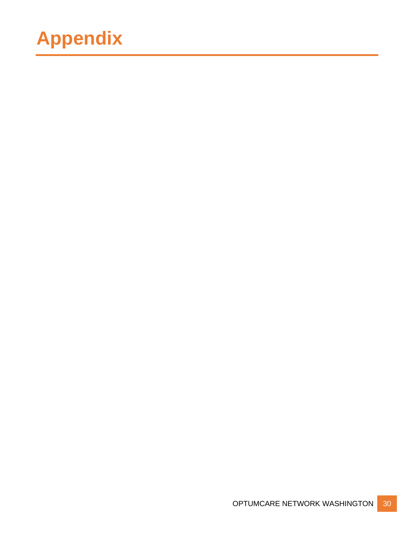# **Appendix**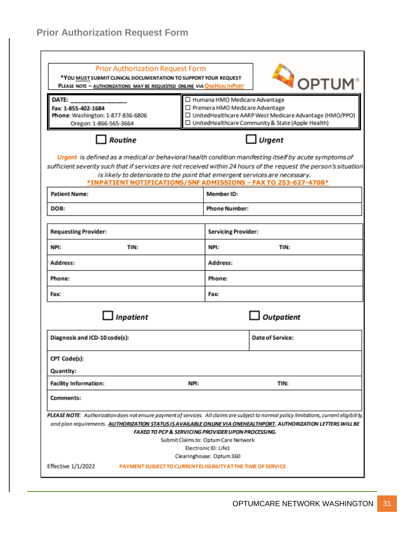<span id="page-30-0"></span>

| <b>Prior Authorization Request Form</b><br>*YOU MUST SUBMIT CLINICAL DOCUMENTATION TO SUPPORT YOUR REQUEST<br>PLEASE NOTE - AUTHORIZATIONS MAY BE REQUESTED ONLINE VIA ONEHEALTHPORT |                                                               |                                                                                                 | OPTUM                                                                                                                                                                                                                                                                                                                                                                      |  |
|--------------------------------------------------------------------------------------------------------------------------------------------------------------------------------------|---------------------------------------------------------------|-------------------------------------------------------------------------------------------------|----------------------------------------------------------------------------------------------------------------------------------------------------------------------------------------------------------------------------------------------------------------------------------------------------------------------------------------------------------------------------|--|
| DATE:<br>Fax: 1-855-402-1684<br>Phone: Washington: 1-877-836-6806<br>Oregon: 1-866-565-3664                                                                                          |                                                               | □ Humana HMO Medicare Advantage<br>□ Premera HMO Medicare Advantage                             | □ UnitedHealthcare AARP West Medicare Advantage (HMO/PPO)<br>□ UnitedHealthcare Community & State (Apple Health)                                                                                                                                                                                                                                                           |  |
| <b>Routine</b>                                                                                                                                                                       |                                                               |                                                                                                 | Urgent                                                                                                                                                                                                                                                                                                                                                                     |  |
|                                                                                                                                                                                      |                                                               |                                                                                                 | Urgent is defined as a medical or behavioral health condition manifesting itself by acute symptoms of<br>sufficient severity such that if services are not received within 24 hours of the request the person's situation<br>is likely to deteriorate to the point that emergent services are necessary.<br>*INPATIENT NOTIFICATIONS/SNF ADMISSIONS - FAX TO 253-627-4708* |  |
| <b>Patient Name:</b>                                                                                                                                                                 |                                                               | <b>Member ID:</b>                                                                               |                                                                                                                                                                                                                                                                                                                                                                            |  |
| DOB:                                                                                                                                                                                 |                                                               | <b>Phone Number:</b>                                                                            |                                                                                                                                                                                                                                                                                                                                                                            |  |
| <b>Requesting Provider:</b>                                                                                                                                                          |                                                               | <b>Servicing Provider:</b>                                                                      |                                                                                                                                                                                                                                                                                                                                                                            |  |
| NPI:<br>TIN:                                                                                                                                                                         |                                                               | NPI:                                                                                            | TIN:                                                                                                                                                                                                                                                                                                                                                                       |  |
| <b>Address:</b>                                                                                                                                                                      |                                                               | <b>Address:</b>                                                                                 |                                                                                                                                                                                                                                                                                                                                                                            |  |
| Phone:                                                                                                                                                                               |                                                               | Phone:                                                                                          |                                                                                                                                                                                                                                                                                                                                                                            |  |
| <b>Fax:</b>                                                                                                                                                                          |                                                               | Fax:                                                                                            |                                                                                                                                                                                                                                                                                                                                                                            |  |
| <b>Inpatient</b>                                                                                                                                                                     |                                                               |                                                                                                 | <b>Outpatient</b>                                                                                                                                                                                                                                                                                                                                                          |  |
| Diagnosis and ICD-10 code(s):                                                                                                                                                        |                                                               |                                                                                                 | <b>Date of Service:</b>                                                                                                                                                                                                                                                                                                                                                    |  |
| <b>CPT Code(s):</b><br><b>Quantity:</b>                                                                                                                                              |                                                               |                                                                                                 |                                                                                                                                                                                                                                                                                                                                                                            |  |
| <b>Facility Information:</b>                                                                                                                                                         | NPI:                                                          |                                                                                                 | TIN:                                                                                                                                                                                                                                                                                                                                                                       |  |
| <b>Comments:</b>                                                                                                                                                                     |                                                               |                                                                                                 |                                                                                                                                                                                                                                                                                                                                                                            |  |
|                                                                                                                                                                                      | <b>FAXED TO PCP &amp; SERVICING PROVIDER UPON PROCESSING.</b> | Submit Claims to: Optum Care Network<br><b>Electronic ID: Life1</b><br>Clearinghouse: Optum 360 | PLEASE NOTE: Authorization does not ensure payment of services. All claims are subject to normal policy limitations, current eligibility,<br>and plan requirements. AUTHORIZATION STATUS IS AVAILABLE ONLINE VIA ONEHEALTHPORT. AUTHORIZATION LETTERS WILL BE                                                                                                              |  |
| <b>Effective 1/1/2022</b>                                                                                                                                                            | PAYMENT SUBJECT TO CURRENT ELIGIBILITY AT THE TIME OF SERVICE |                                                                                                 |                                                                                                                                                                                                                                                                                                                                                                            |  |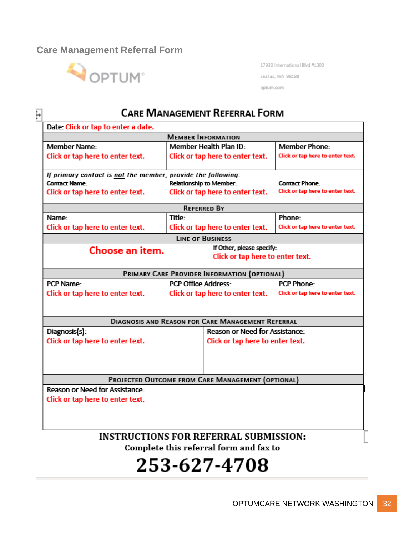### <span id="page-31-0"></span>**Care Management Referral Form**



17930 International Blvd #1000 SeaTac, WA 98188

optum.com

#### **CARE MANAGEMENT REFERRAL FORM** F Date: Click or tap to enter a date. **MEMBER INFORMATION** Member Health Plan ID-Member Name-Member Phone-Click or tap here to enter text. Click or tap here to enter text. Click or tap here to enter text. If primary contact is not the member, provide the following: **Contact Name: Relationship to Member: Contact Phone:** Click or tap here to enter text. Click or tap here to enter text. Click or tap here to enter text. **REFERRED BY** Name: Title: Phone: Click or tap here to enter text. Click or tap here to enter text. Click or tap here to enter text. **LINE OF BUSINESS** Choose an item. If Other, please specify: Click or tap here to enter text. PRIMARY CARE PROVIDER INFORMATION (OPTIONAL) PCP Name: **PCP Office Address:** PCP Phone: Click or tap here to enter text. Click or tap here to enter text. Click or tap here to enter text. **DIAGNOSIS AND REASON FOR CARE MANAGEMENT REFERRAL** Reason or Need for Assistance: Diagnosis(s): Click or tap here to enter text. Click or tap here to enter text. PROJECTED OUTCOME FROM CARE MANAGEMENT (OPTIONAL) Reason or Need for Assistance: Click or tap here to enter text. **INSTRUCTIONS FOR REFERRAL SUBMISSION:** Complete this referral form and fax to

# 253-627-4708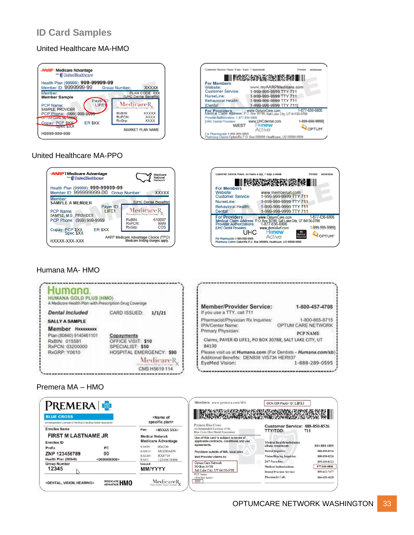# **ID Card Samples**

#### United Healthcare MA-HMO





#### United Healthcare MA-PPO





#### Humana MA- HMO



#### Premera MA – HMO

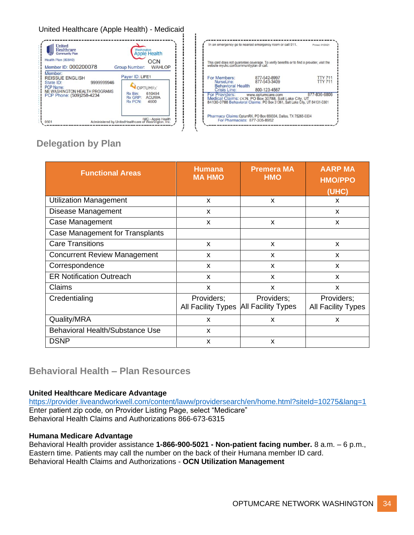#### United Healthcare (Apple Health) - Medicaid



|                                                       | In an emergency go to nearest emergency room or call 911.                                                                           | Printed: 01/20/21                |
|-------------------------------------------------------|-------------------------------------------------------------------------------------------------------------------------------------|----------------------------------|
|                                                       | This card does not guarantee coverage. To verify benefits or to find a provider, visit the website myuhc.com/communityplan or call. |                                  |
| For Members: 877-542-8997<br><b>Behavioral Health</b> | NurseLine: 877-543-3409                                                                                                             | <b>TTY 711</b><br><b>TTY 711</b> |
| Crisis Line:                                          | 800-123-4567                                                                                                                        |                                  |
| For Providers: www.optumcare.com                      | Medical Claims: OCN, PO Box 30788, Salt Lake City, UT<br>84130-0788 Behavioral Claims: PO Box 31361, Salt Lake City, UT 84131-0361  | 877-836-6806                     |
| For Pharmacists: 877-305-8952                         | Pharmacy Claims: OptumRX, PO Box 650334, Dallas, TX 75265-0334                                                                      |                                  |

# <span id="page-33-0"></span>**Delegation by Plan**

| <b>Functional Areas</b>                | <b>Humana</b><br><b>MA HMO</b>   | <b>Premera MA</b><br><b>HMO</b>         | <b>AARP MA</b><br><b>HMO/PPO</b><br>(UHC) |
|----------------------------------------|----------------------------------|-----------------------------------------|-------------------------------------------|
| <b>Utilization Management</b>          | X                                | X                                       | X                                         |
| Disease Management                     | X                                |                                         | $\mathsf{x}$                              |
| Case Management                        | X                                | X                                       | X                                         |
| <b>Case Management for Transplants</b> |                                  |                                         |                                           |
| <b>Care Transitions</b>                | X                                | X                                       | X                                         |
| <b>Concurrent Review Management</b>    | X                                | X                                       | X                                         |
| Correspondence                         | X                                | X                                       | $\mathsf{x}$                              |
| <b>ER Notification Outreach</b>        | X                                | X                                       | $\boldsymbol{\mathsf{x}}$                 |
| Claims                                 | X                                | X                                       | X                                         |
| Credentialing                          | Providers;<br>All Facility Types | Providers;<br><b>All Facility Types</b> | Providers;<br>All Facility Types          |
| Quality/MRA                            | X                                | x                                       | X                                         |
| <b>Behavioral Health/Substance Use</b> | X                                |                                         |                                           |
| <b>DSNP</b>                            | X                                | X                                       |                                           |

### **Behavioral Health – Plan Resources**

#### **United Healthcare Medicare Advantage**

<https://provider.liveandworkwell.com/content/laww/providersearch/en/home.html?siteId=10275&lang=1> Enter patient zip code, on Provider Listing Page, select "Medicare" Behavioral Health Claims and Authorizations 866-673-6315

#### **Humana Medicare Advantage**

Behavioral Health provider assistance **1-866-900-5021 - Non-patient facing number.** 8 a.m. – 6 p.m., Eastern time. Patients may call the number on the back of their Humana member ID card. Behavioral Health Claims and Authorizations - **OCN Utilization Management**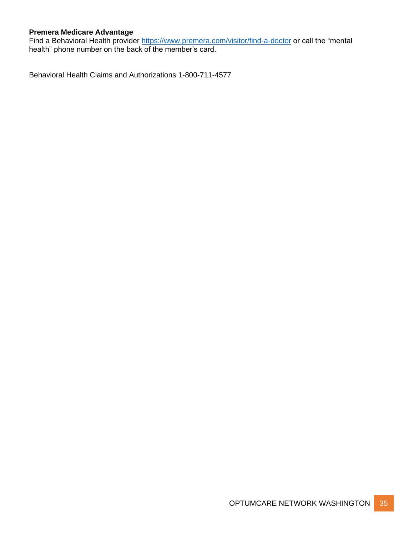#### **Premera Medicare Advantage**

Find a Behavioral Health provider<https://www.premera.com/visitor/find-a-doctor> or call the "mental health" phone number on the back of the member's card.

Behavioral Health Claims and Authorizations 1-800-711-4577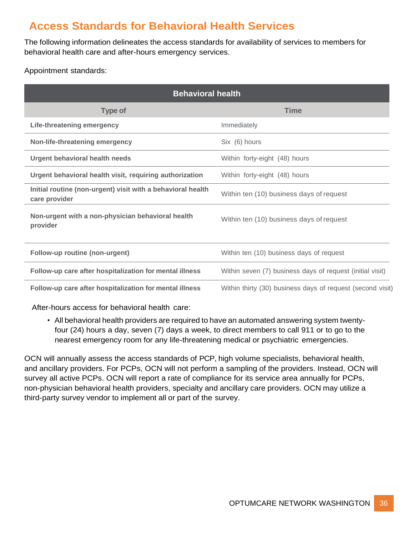# <span id="page-35-0"></span>**Access Standards for Behavioral Health Services**

The following information delineates the access standards for availability of services to members for behavioral health care and after-hours emergency services.

Appointment standards:

| <b>Behavioral health</b>                                                     |                                                            |  |
|------------------------------------------------------------------------------|------------------------------------------------------------|--|
| <b>Type of</b>                                                               | <b>Time</b>                                                |  |
| Life-threatening emergency                                                   | Immediately                                                |  |
| Non-life-threatening emergency                                               | Six (6) hours                                              |  |
| <b>Urgent behavioral health needs</b>                                        | Within forty-eight (48) hours                              |  |
| Urgent behavioral health visit, requiring authorization                      | Within forty-eight (48) hours                              |  |
| Initial routine (non-urgent) visit with a behavioral health<br>care provider | Within ten (10) business days of request                   |  |
| Non-urgent with a non-physician behavioral health<br>provider                | Within ten (10) business days of request                   |  |
| Follow-up routine (non-urgent)                                               | Within ten (10) business days of request                   |  |
| Follow-up care after hospitalization for mental illness                      | Within seven (7) business days of request (initial visit)  |  |
| Follow-up care after hospitalization for mental illness                      | Within thirty (30) business days of request (second visit) |  |

After-hours access for behavioral health care:

• All behavioral health providers are required to have an automated answering system twentyfour (24) hours a day, seven (7) days a week, to direct members to call 911 or to go to the nearest emergency room for any life-threatening medical or psychiatric emergencies.

OCN will annually assess the access standards of PCP, high volume specialists, behavioral health, and ancillary providers. For PCPs, OCN will not perform a sampling of the providers. Instead, OCN will survey all active PCPs. OCN will report a rate of compliance for its service area annually for PCPs, non-physician behavioral health providers, specialty and ancillary care providers. OCN may utilize a third-party survey vendor to implement all or part of the survey.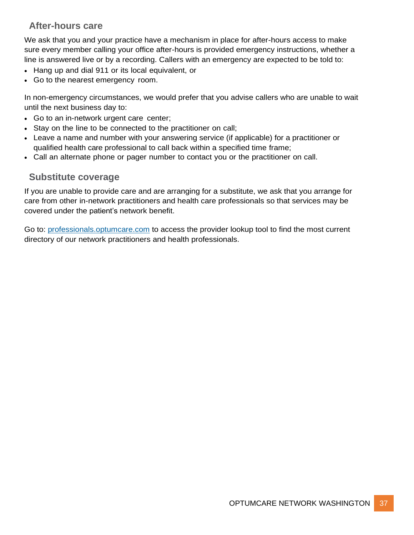# **After-hours care**

<span id="page-36-0"></span>We ask that you and your practice have a mechanism in place for after-hours access to make sure every member calling your office after-hours is provided emergency instructions, whether a line is answered live or by a recording. Callers with an emergency are expected to be told to:

- Hang up and dial 911 or its local equivalent, or
- Go to the nearest emergency room.

In non-emergency circumstances, we would prefer that you advise callers who are unable to wait until the next business day to:

- Go to an in-network urgent care center;
- Stay on the line to be connected to the practitioner on call;
- Leave a name and number with your answering service (if applicable) for a practitioner or qualified health care professional to call back within a specified time frame;
- Call an alternate phone or pager number to contact you or the practitioner on call.

### **Substitute coverage**

<span id="page-36-1"></span>If you are unable to provide care and are arranging for a substitute, we ask that you arrange for care from other in-network practitioners and health care professionals so that services may be covered under the patient's network benefit.

Go to: professionals.optumcare.com to access the provider lookup tool to find the most current directory of our network practitioners and health professionals.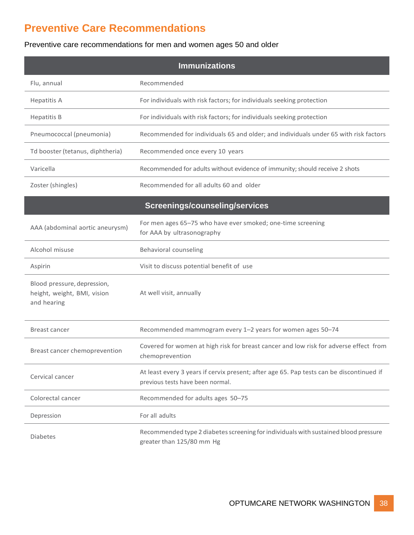# <span id="page-37-0"></span>**Preventive Care Recommendations**

#### Preventive care recommendations for men and women ages 50 and older

| <b>Immunizations</b>                                                      |                                                                                                                              |  |
|---------------------------------------------------------------------------|------------------------------------------------------------------------------------------------------------------------------|--|
| Flu, annual                                                               | Recommended                                                                                                                  |  |
| <b>Hepatitis A</b>                                                        | For individuals with risk factors; for individuals seeking protection                                                        |  |
| <b>Hepatitis B</b>                                                        | For individuals with risk factors; for individuals seeking protection                                                        |  |
| Pneumococcal (pneumonia)                                                  | Recommended for individuals 65 and older; and individuals under 65 with risk factors                                         |  |
| Td booster (tetanus, diphtheria)                                          | Recommended once every 10 years                                                                                              |  |
| Varicella                                                                 | Recommended for adults without evidence of immunity; should receive 2 shots                                                  |  |
| Zoster (shingles)                                                         | Recommended for all adults 60 and older                                                                                      |  |
|                                                                           | Screenings/counseling/services                                                                                               |  |
| AAA (abdominal aortic aneurysm)                                           | For men ages 65-75 who have ever smoked; one-time screening<br>for AAA by ultrasonography                                    |  |
| Alcohol misuse                                                            | Behavioral counseling                                                                                                        |  |
| Aspirin                                                                   | Visit to discuss potential benefit of use                                                                                    |  |
| Blood pressure, depression,<br>height, weight, BMI, vision<br>and hearing | At well visit, annually                                                                                                      |  |
| Breast cancer                                                             | Recommended mammogram every 1-2 years for women ages 50-74                                                                   |  |
| Breast cancer chemoprevention                                             | Covered for women at high risk for breast cancer and low risk for adverse effect from<br>chemoprevention                     |  |
| Cervical cancer                                                           | At least every 3 years if cervix present; after age 65. Pap tests can be discontinued if<br>previous tests have been normal. |  |
| Colorectal cancer                                                         | Recommended for adults ages 50-75                                                                                            |  |
| Depression                                                                | For all adults                                                                                                               |  |
| <b>Diabetes</b>                                                           | Recommended type 2 diabetes screening for individuals with sustained blood pressure<br>greater than 125/80 mm Hg             |  |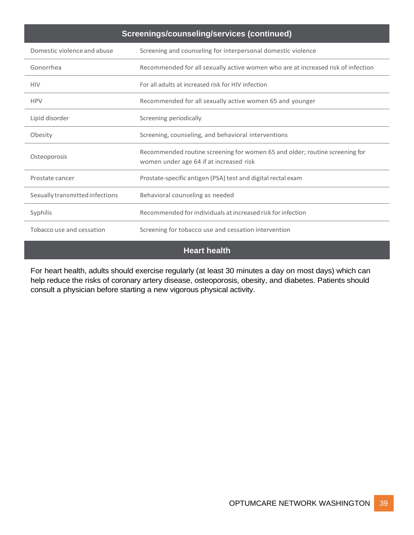| Screenings/counseling/services (continued) |                                                                                                                        |  |
|--------------------------------------------|------------------------------------------------------------------------------------------------------------------------|--|
| Domestic violence and abuse                | Screening and counseling for interpersonal domestic violence                                                           |  |
| Gonorrhea                                  | Recommended for all sexually active women who are at increased risk of infection                                       |  |
| <b>HIV</b>                                 | For all adults at increased risk for HIV infection                                                                     |  |
| <b>HPV</b>                                 | Recommended for all sexually active women 65 and younger                                                               |  |
| Lipid disorder                             | Screening periodically                                                                                                 |  |
| Obesity                                    | Screening, counseling, and behavioral interventions                                                                    |  |
| Osteoporosis                               | Recommended routine screening for women 65 and older; routine screening for<br>women under age 64 if at increased risk |  |
| Prostate cancer                            | Prostate-specific antigen (PSA) test and digital rectal exam                                                           |  |
| Sexually transmitted infections            | Behavioral counseling as needed                                                                                        |  |
| Syphilis                                   | Recommended for individuals at increased risk for infection                                                            |  |
| Tobacco use and cessation                  | Screening for tobacco use and cessation intervention                                                                   |  |
| <b>Heart health</b>                        |                                                                                                                        |  |

For heart health, adults should exercise regularly (at least 30 minutes a day on most days) which can help reduce the risks of coronary artery disease, osteoporosis, obesity, and diabetes. Patients should consult a physician before starting a new vigorous physical activity.